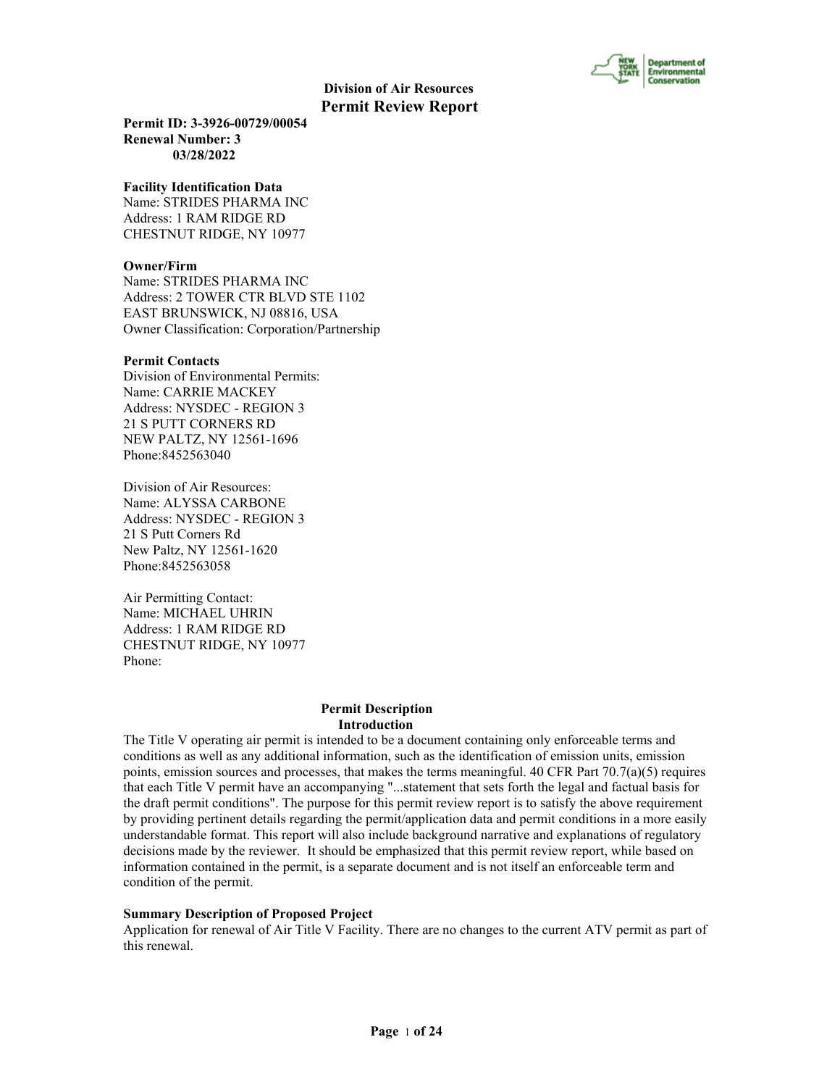

**Permit ID: 3-3926-00729/00054 Renewal Number: 3 03/28/2022**

#### **Facility Identification Data**

Name: STRIDES PHARMA INC Address: 1 RAM RIDGE RD CHESTNUT RIDGE, NY 10977

#### **Owner/Firm**

Name: STRIDES PHARMA INC Address: 2 TOWER CTR BLVD STE 1102 EAST BRUNSWICK, NJ 08816, USA Owner Classification: Corporation/Partnership

#### **Permit Contacts**

Division of Environmental Permits: Name: CARRIE MACKEY Address: NYSDEC - REGION 3 21 S PUTT CORNERS RD NEW PALTZ, NY 12561-1696 Phone:8452563040

Division of Air Resources: Name: ALYSSA CARBONE Address: NYSDEC - REGION 3 21 S Putt Corners Rd New Paltz, NY 12561-1620 Phone:8452563058

Air Permitting Contact: Name: MICHAEL UHRIN Address: 1 RAM RIDGE RD CHESTNUT RIDGE, NY 10977 Phone:

#### **Permit Description Introduction**

The Title V operating air permit is intended to be a document containing only enforceable terms and conditions as well as any additional information, such as the identification of emission units, emission points, emission sources and processes, that makes the terms meaningful. 40 CFR Part  $70.7(a)(5)$  requires that each Title V permit have an accompanying "...statement that sets forth the legal and factual basis for the draft permit conditions". The purpose for this permit review report is to satisfy the above requirement by providing pertinent details regarding the permit/application data and permit conditions in a more easily understandable format. This report will also include background narrative and explanations of regulatory decisions made by the reviewer. It should be emphasized that this permit review report, while based on information contained in the permit, is a separate document and is not itself an enforceable term and condition of the permit.

#### **Summary Description of Proposed Project**

Application for renewal of Air Title V Facility. There are no changes to the current ATV permit as part of this renewal.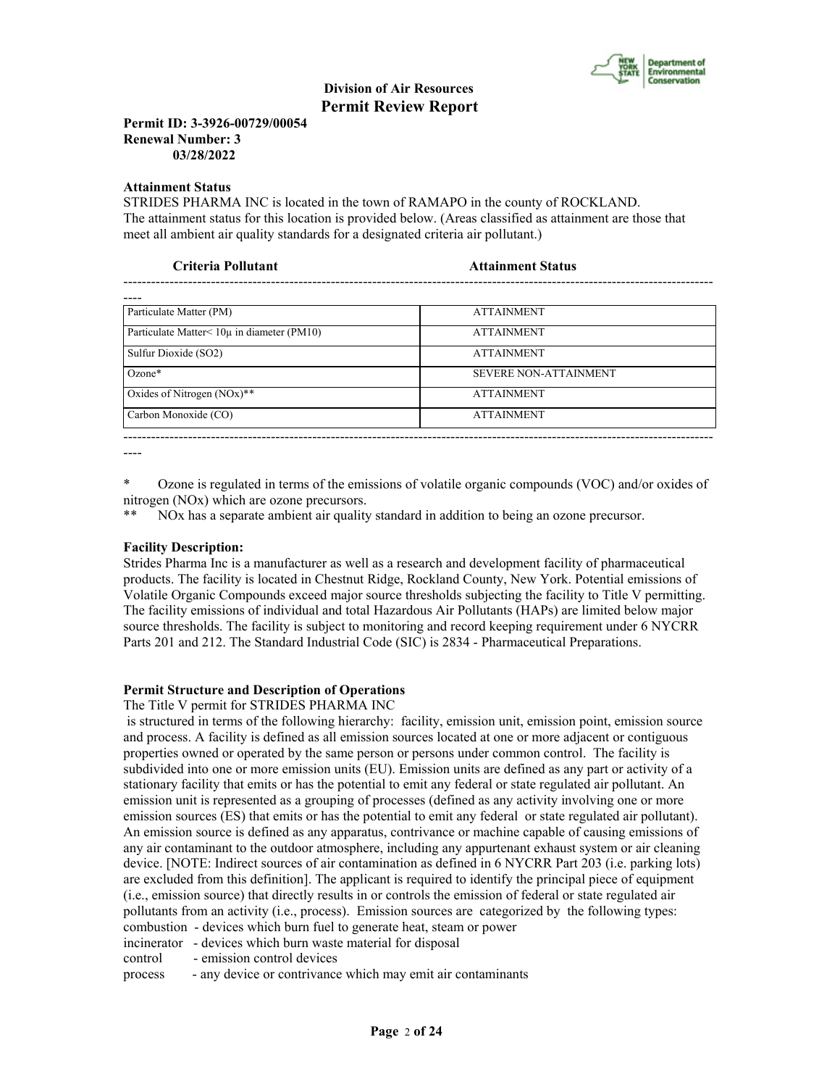

## **Permit ID: 3-3926-00729/00054 Renewal Number: 3 03/28/2022**

#### **Attainment Status**

STRIDES PHARMA INC is located in the town of RAMAPO in the county of ROCKLAND. The attainment status for this location is provided below. (Areas classified as attainment are those that meet all ambient air quality standards for a designated criteria air pollutant.)

| Criteria Pollutant                                 | <b>Attainment Status</b>     |  |
|----------------------------------------------------|------------------------------|--|
|                                                    |                              |  |
| Particulate Matter (PM)                            | <b>ATTAINMENT</b>            |  |
| Particulate Matter $\leq 10\mu$ in diameter (PM10) | <b>ATTAINMENT</b>            |  |
| Sulfur Dioxide (SO2)                               | <b>ATTAINMENT</b>            |  |
| $Ozone*$                                           | <b>SEVERE NON-ATTAINMENT</b> |  |
| Oxides of Nitrogen (NOx)**                         | <b>ATTAINMENT</b>            |  |
| Carbon Monoxide (CO)                               | <b>ATTAINMENT</b>            |  |
|                                                    |                              |  |

----

\* Ozone is regulated in terms of the emissions of volatile organic compounds (VOC) and/or oxides of nitrogen (NOx) which are ozone precursors.

NO<sub>x</sub> has a separate ambient air quality standard in addition to being an ozone precursor.

#### **Facility Description:**

Strides Pharma Inc is a manufacturer as well as a research and development facility of pharmaceutical products. The facility is located in Chestnut Ridge, Rockland County, New York. Potential emissions of Volatile Organic Compounds exceed major source thresholds subjecting the facility to Title V permitting. The facility emissions of individual and total Hazardous Air Pollutants (HAPs) are limited below major source thresholds. The facility is subject to monitoring and record keeping requirement under 6 NYCRR Parts 201 and 212. The Standard Industrial Code (SIC) is 2834 - Pharmaceutical Preparations.

#### **Permit Structure and Description of Operations**

The Title V permit for STRIDES PHARMA INC

 is structured in terms of the following hierarchy: facility, emission unit, emission point, emission source and process. A facility is defined as all emission sources located at one or more adjacent or contiguous properties owned or operated by the same person or persons under common control. The facility is subdivided into one or more emission units (EU). Emission units are defined as any part or activity of a stationary facility that emits or has the potential to emit any federal or state regulated air pollutant. An emission unit is represented as a grouping of processes (defined as any activity involving one or more emission sources (ES) that emits or has the potential to emit any federal or state regulated air pollutant). An emission source is defined as any apparatus, contrivance or machine capable of causing emissions of any air contaminant to the outdoor atmosphere, including any appurtenant exhaust system or air cleaning device. [NOTE: Indirect sources of air contamination as defined in 6 NYCRR Part 203 (i.e. parking lots) are excluded from this definition]. The applicant is required to identify the principal piece of equipment (i.e., emission source) that directly results in or controls the emission of federal or state regulated air pollutants from an activity (i.e., process). Emission sources are categorized by the following types: combustion - devices which burn fuel to generate heat, steam or power incinerator - devices which burn waste material for disposal

control - emission control devices

process - any device or contrivance which may emit air contaminants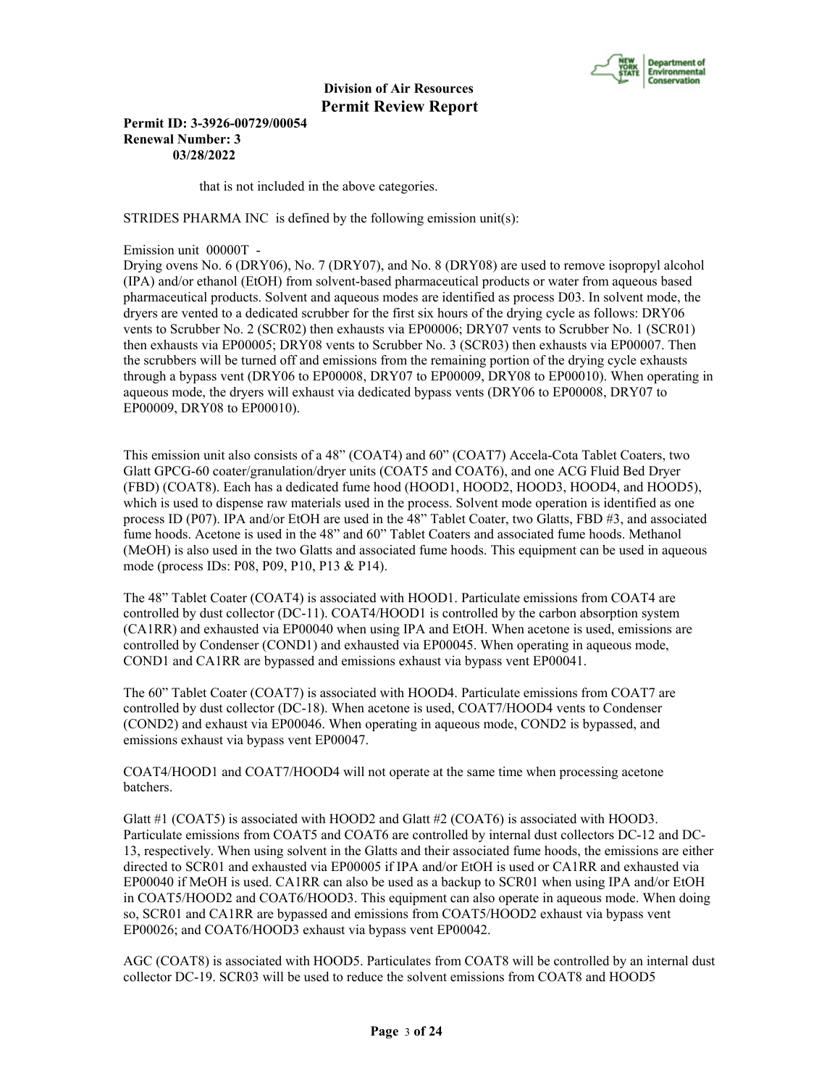

**Permit ID: 3-3926-00729/00054 Renewal Number: 3 03/28/2022**

that is not included in the above categories.

STRIDES PHARMA INC is defined by the following emission unit(s):

Emission unit 00000T -

Drying ovens No. 6 (DRY06), No. 7 (DRY07), and No. 8 (DRY08) are used to remove isopropyl alcohol (IPA) and/or ethanol (EtOH) from solvent-based pharmaceutical products or water from aqueous based pharmaceutical products. Solvent and aqueous modes are identified as process D03. In solvent mode, the dryers are vented to a dedicated scrubber for the first six hours of the drying cycle as follows: DRY06 vents to Scrubber No. 2 (SCR02) then exhausts via EP00006; DRY07 vents to Scrubber No. 1 (SCR01) then exhausts via EP00005; DRY08 vents to Scrubber No. 3 (SCR03) then exhausts via EP00007. Then the scrubbers will be turned off and emissions from the remaining portion of the drying cycle exhausts through a bypass vent (DRY06 to EP00008, DRY07 to EP00009, DRY08 to EP00010). When operating in aqueous mode, the dryers will exhaust via dedicated bypass vents (DRY06 to EP00008, DRY07 to EP00009, DRY08 to EP00010).

This emission unit also consists of a 48" (COAT4) and 60" (COAT7) Accela-Cota Tablet Coaters, two Glatt GPCG-60 coater/granulation/dryer units (COAT5 and COAT6), and one ACG Fluid Bed Dryer (FBD) (COAT8). Each has a dedicated fume hood (HOOD1, HOOD2, HOOD3, HOOD4, and HOOD5), which is used to dispense raw materials used in the process. Solvent mode operation is identified as one process ID (P07). IPA and/or EtOH are used in the 48" Tablet Coater, two Glatts, FBD #3, and associated fume hoods. Acetone is used in the 48" and 60" Tablet Coaters and associated fume hoods. Methanol (MeOH) is also used in the two Glatts and associated fume hoods. This equipment can be used in aqueous mode (process IDs: P08, P09, P10, P13 & P14).

The 48" Tablet Coater (COAT4) is associated with HOOD1. Particulate emissions from COAT4 are controlled by dust collector (DC-11). COAT4/HOOD1 is controlled by the carbon absorption system (CA1RR) and exhausted via EP00040 when using IPA and EtOH. When acetone is used, emissions are controlled by Condenser (COND1) and exhausted via EP00045. When operating in aqueous mode, COND1 and CA1RR are bypassed and emissions exhaust via bypass vent EP00041.

The 60" Tablet Coater (COAT7) is associated with HOOD4. Particulate emissions from COAT7 are controlled by dust collector (DC-18). When acetone is used, COAT7/HOOD4 vents to Condenser (COND2) and exhaust via EP00046. When operating in aqueous mode, COND2 is bypassed, and emissions exhaust via bypass vent EP00047.

COAT4/HOOD1 and COAT7/HOOD4 will not operate at the same time when processing acetone batchers.

Glatt #1 (COAT5) is associated with HOOD2 and Glatt #2 (COAT6) is associated with HOOD3. Particulate emissions from COAT5 and COAT6 are controlled by internal dust collectors DC-12 and DC-13, respectively. When using solvent in the Glatts and their associated fume hoods, the emissions are either directed to SCR01 and exhausted via EP00005 if IPA and/or EtOH is used or CA1RR and exhausted via EP00040 if MeOH is used. CA1RR can also be used as a backup to SCR01 when using IPA and/or EtOH in COAT5/HOOD2 and COAT6/HOOD3. This equipment can also operate in aqueous mode. When doing so, SCR01 and CA1RR are bypassed and emissions from COAT5/HOOD2 exhaust via bypass vent EP00026; and COAT6/HOOD3 exhaust via bypass vent EP00042.

AGC (COAT8) is associated with HOOD5. Particulates from COAT8 will be controlled by an internal dust collector DC-19. SCR03 will be used to reduce the solvent emissions from COAT8 and HOOD5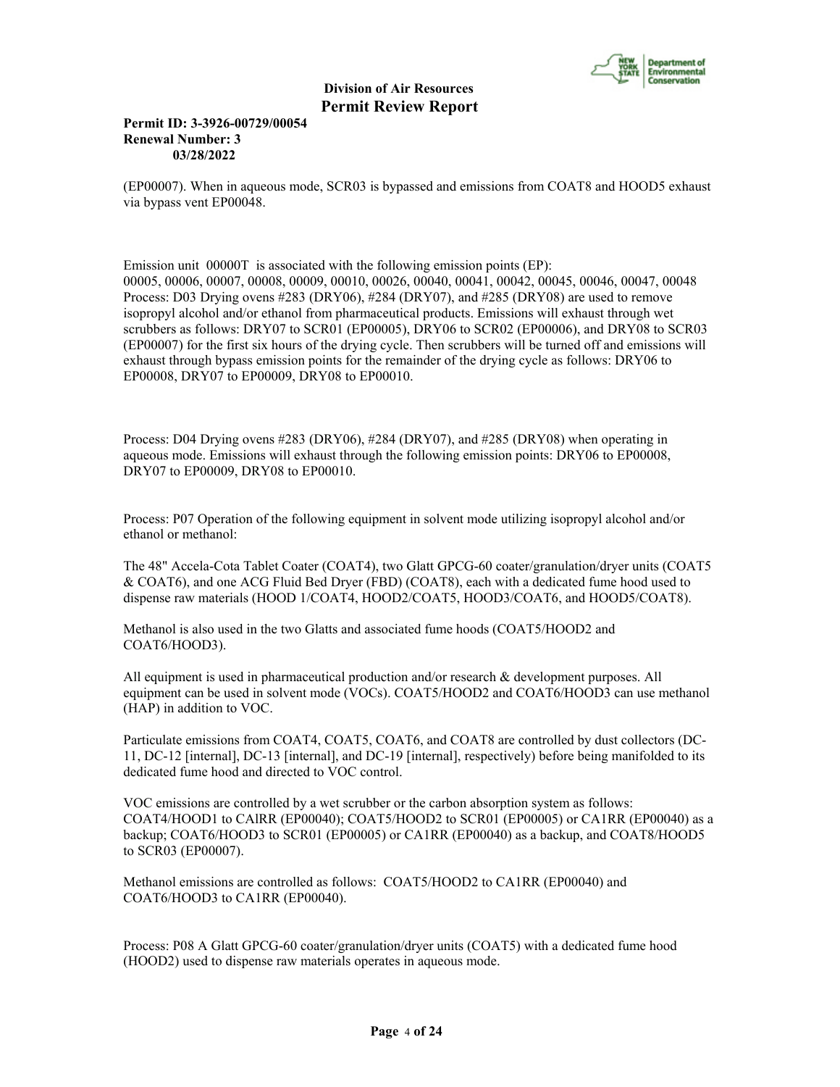

# **Permit ID: 3-3926-00729/00054 Renewal Number: 3 03/28/2022**

(EP00007). When in aqueous mode, SCR03 is bypassed and emissions from COAT8 and HOOD5 exhaust via bypass vent EP00048.

Emission unit 00000T is associated with the following emission points (EP): 00005, 00006, 00007, 00008, 00009, 00010, 00026, 00040, 00041, 00042, 00045, 00046, 00047, 00048 Process: D03 Drying ovens #283 (DRY06), #284 (DRY07), and #285 (DRY08) are used to remove isopropyl alcohol and/or ethanol from pharmaceutical products. Emissions will exhaust through wet scrubbers as follows: DRY07 to SCR01 (EP00005), DRY06 to SCR02 (EP00006), and DRY08 to SCR03 (EP00007) for the first six hours of the drying cycle. Then scrubbers will be turned off and emissions will exhaust through bypass emission points for the remainder of the drying cycle as follows: DRY06 to EP00008, DRY07 to EP00009, DRY08 to EP00010.

Process: D04 Drying ovens #283 (DRY06), #284 (DRY07), and #285 (DRY08) when operating in aqueous mode. Emissions will exhaust through the following emission points: DRY06 to EP00008, DRY07 to EP00009, DRY08 to EP00010.

Process: P07 Operation of the following equipment in solvent mode utilizing isopropyl alcohol and/or ethanol or methanol:

The 48" Accela-Cota Tablet Coater (COAT4), two Glatt GPCG-60 coater/granulation/dryer units (COAT5 & COAT6), and one ACG Fluid Bed Dryer (FBD) (COAT8), each with a dedicated fume hood used to dispense raw materials (HOOD 1/COAT4, HOOD2/COAT5, HOOD3/COAT6, and HOOD5/COAT8).

Methanol is also used in the two Glatts and associated fume hoods (COAT5/HOOD2 and COAT6/HOOD3).

All equipment is used in pharmaceutical production and/or research & development purposes. All equipment can be used in solvent mode (VOCs). COAT5/HOOD2 and COAT6/HOOD3 can use methanol (HAP) in addition to VOC.

Particulate emissions from COAT4, COAT5, COAT6, and COAT8 are controlled by dust collectors (DC-11, DC-12 [internal], DC-13 [internal], and DC-19 [internal], respectively) before being manifolded to its dedicated fume hood and directed to VOC control.

VOC emissions are controlled by a wet scrubber or the carbon absorption system as follows: COAT4/HOOD1 to CAlRR (EP00040); COAT5/HOOD2 to SCR01 (EP00005) or CA1RR (EP00040) as a backup; COAT6/HOOD3 to SCR01 (EP00005) or CA1RR (EP00040) as a backup, and COAT8/HOOD5 to SCR03 (EP00007).

Methanol emissions are controlled as follows: COAT5/HOOD2 to CA1RR (EP00040) and COAT6/HOOD3 to CA1RR (EP00040).

Process: P08 A Glatt GPCG-60 coater/granulation/dryer units (COAT5) with a dedicated fume hood (HOOD2) used to dispense raw materials operates in aqueous mode.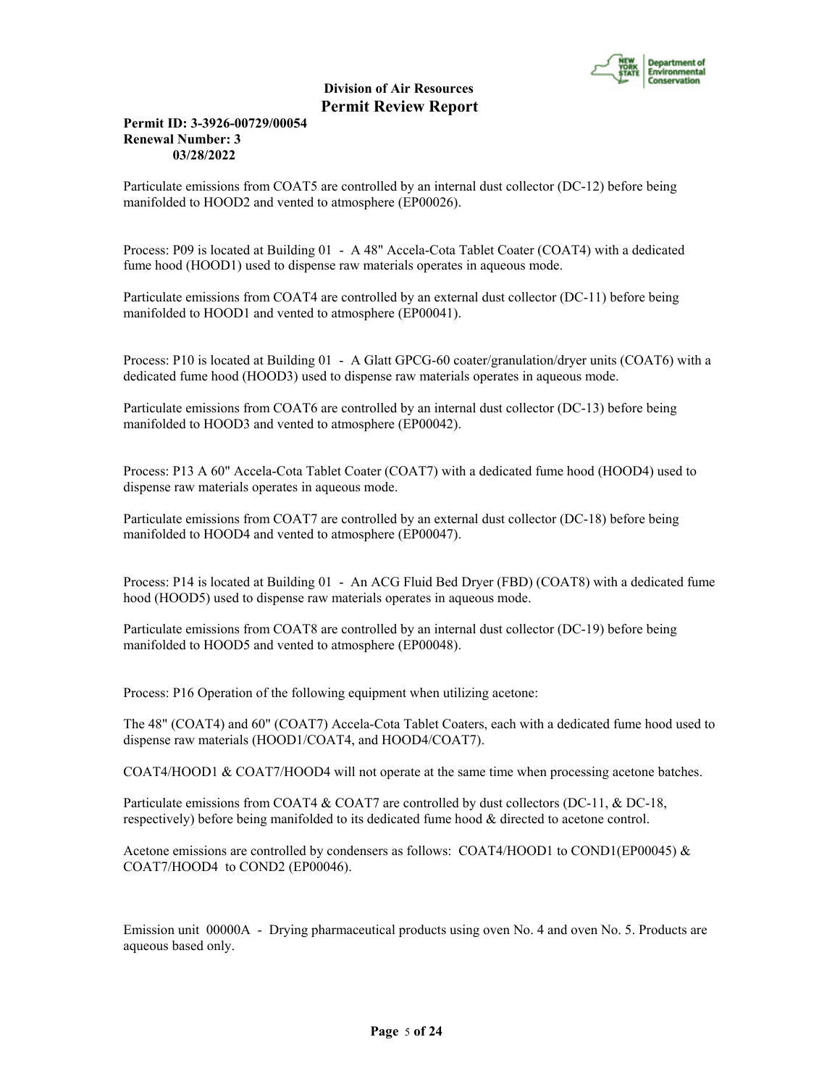

# **Permit ID: 3-3926-00729/00054 Renewal Number: 3 03/28/2022**

Particulate emissions from COAT5 are controlled by an internal dust collector (DC-12) before being manifolded to HOOD2 and vented to atmosphere (EP00026).

Process: P09 is located at Building 01 - A 48" Accela-Cota Tablet Coater (COAT4) with a dedicated fume hood (HOOD1) used to dispense raw materials operates in aqueous mode.

Particulate emissions from COAT4 are controlled by an external dust collector (DC-11) before being manifolded to HOOD1 and vented to atmosphere (EP00041).

Process: P10 is located at Building 01 - A Glatt GPCG-60 coater/granulation/dryer units (COAT6) with a dedicated fume hood (HOOD3) used to dispense raw materials operates in aqueous mode.

Particulate emissions from COAT6 are controlled by an internal dust collector (DC-13) before being manifolded to HOOD3 and vented to atmosphere (EP00042).

Process: P13 A 60" Accela-Cota Tablet Coater (COAT7) with a dedicated fume hood (HOOD4) used to dispense raw materials operates in aqueous mode.

Particulate emissions from COAT7 are controlled by an external dust collector (DC-18) before being manifolded to HOOD4 and vented to atmosphere (EP00047).

Process: P14 is located at Building 01 - An ACG Fluid Bed Dryer (FBD) (COAT8) with a dedicated fume hood (HOOD5) used to dispense raw materials operates in aqueous mode.

Particulate emissions from COAT8 are controlled by an internal dust collector (DC-19) before being manifolded to HOOD5 and vented to atmosphere (EP00048).

Process: P16 Operation of the following equipment when utilizing acetone:

The 48" (COAT4) and 60" (COAT7) Accela-Cota Tablet Coaters, each with a dedicated fume hood used to dispense raw materials (HOOD1/COAT4, and HOOD4/COAT7).

COAT4/HOOD1 & COAT7/HOOD4 will not operate at the same time when processing acetone batches.

Particulate emissions from COAT4 & COAT7 are controlled by dust collectors (DC-11, & DC-18, respectively) before being manifolded to its dedicated fume hood & directed to acetone control.

Acetone emissions are controlled by condensers as follows: COAT4/HOOD1 to COND1(EP00045) & COAT7/HOOD4 to COND2 (EP00046).

Emission unit 00000A - Drying pharmaceutical products using oven No. 4 and oven No. 5. Products are aqueous based only.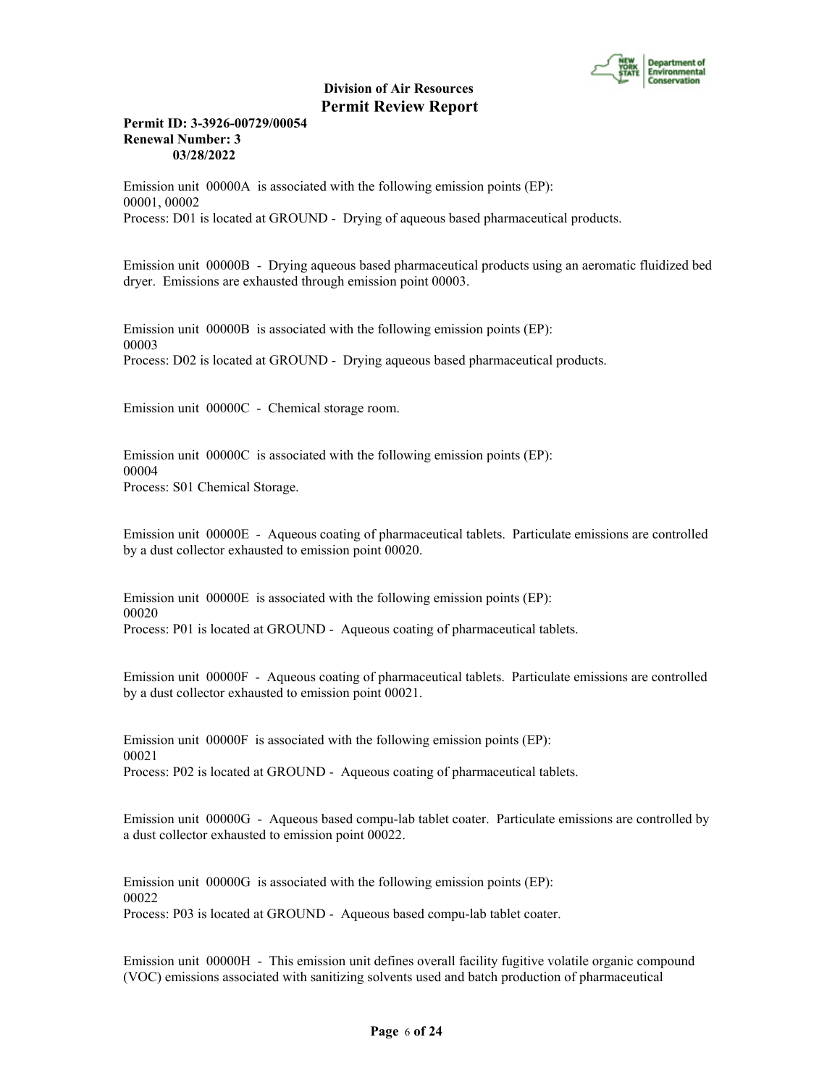

# **Permit ID: 3-3926-00729/00054 Renewal Number: 3 03/28/2022**

Emission unit 00000A is associated with the following emission points (EP): 00001, 00002 Process: D01 is located at GROUND - Drying of aqueous based pharmaceutical products.

Emission unit 00000B - Drying aqueous based pharmaceutical products using an aeromatic fluidized bed dryer. Emissions are exhausted through emission point 00003.

Emission unit 00000B is associated with the following emission points (EP): 00003 Process: D02 is located at GROUND - Drying aqueous based pharmaceutical products.

Emission unit 00000C - Chemical storage room.

Emission unit 00000C is associated with the following emission points (EP): 00004 Process: S01 Chemical Storage.

Emission unit 00000E - Aqueous coating of pharmaceutical tablets. Particulate emissions are controlled by a dust collector exhausted to emission point 00020.

Emission unit 00000E is associated with the following emission points (EP): 00020 Process: P01 is located at GROUND - Aqueous coating of pharmaceutical tablets.

Emission unit 00000F - Aqueous coating of pharmaceutical tablets. Particulate emissions are controlled by a dust collector exhausted to emission point 00021.

Emission unit 00000F is associated with the following emission points (EP): 00021 Process: P02 is located at GROUND - Aqueous coating of pharmaceutical tablets.

Emission unit 00000G - Aqueous based compu-lab tablet coater. Particulate emissions are controlled by a dust collector exhausted to emission point 00022.

Emission unit 00000G is associated with the following emission points (EP): 00022 Process: P03 is located at GROUND - Aqueous based compu-lab tablet coater.

Emission unit 00000H - This emission unit defines overall facility fugitive volatile organic compound (VOC) emissions associated with sanitizing solvents used and batch production of pharmaceutical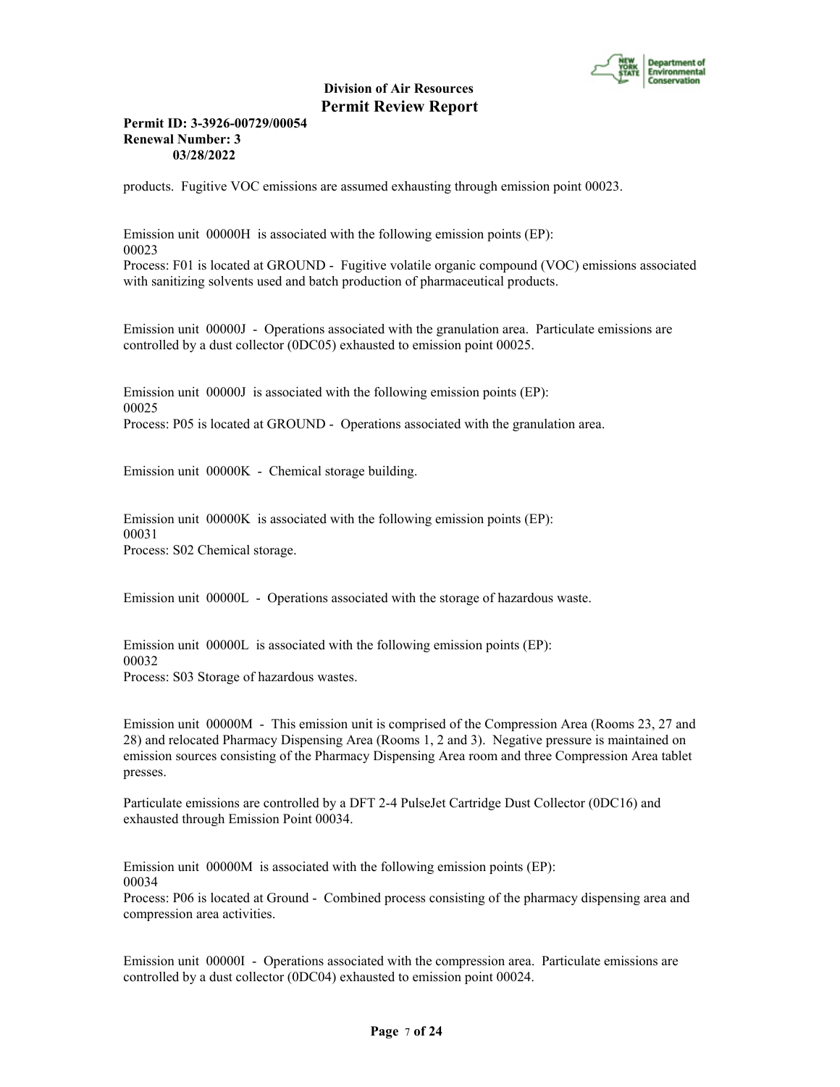

# **Permit ID: 3-3926-00729/00054 Renewal Number: 3 03/28/2022**

products. Fugitive VOC emissions are assumed exhausting through emission point 00023.

Emission unit 00000H is associated with the following emission points (EP): 00023 Process: F01 is located at GROUND - Fugitive volatile organic compound (VOC) emissions associated with sanitizing solvents used and batch production of pharmaceutical products.

Emission unit 00000J - Operations associated with the granulation area. Particulate emissions are controlled by a dust collector (0DC05) exhausted to emission point 00025.

Emission unit 00000J is associated with the following emission points (EP): 00025 Process: P05 is located at GROUND - Operations associated with the granulation area.

Emission unit 00000K - Chemical storage building.

Emission unit 00000K is associated with the following emission points (EP): 00031 Process: S02 Chemical storage.

Emission unit 00000L - Operations associated with the storage of hazardous waste.

Emission unit 00000L is associated with the following emission points (EP): 00032 Process: S03 Storage of hazardous wastes.

Emission unit 00000M - This emission unit is comprised of the Compression Area (Rooms 23, 27 and 28) and relocated Pharmacy Dispensing Area (Rooms 1, 2 and 3). Negative pressure is maintained on emission sources consisting of the Pharmacy Dispensing Area room and three Compression Area tablet presses.

Particulate emissions are controlled by a DFT 2-4 PulseJet Cartridge Dust Collector (0DC16) and exhausted through Emission Point 00034.

Emission unit 00000M is associated with the following emission points (EP): 00034 Process: P06 is located at Ground - Combined process consisting of the pharmacy dispensing area and compression area activities.

Emission unit 00000I - Operations associated with the compression area. Particulate emissions are controlled by a dust collector (0DC04) exhausted to emission point 00024.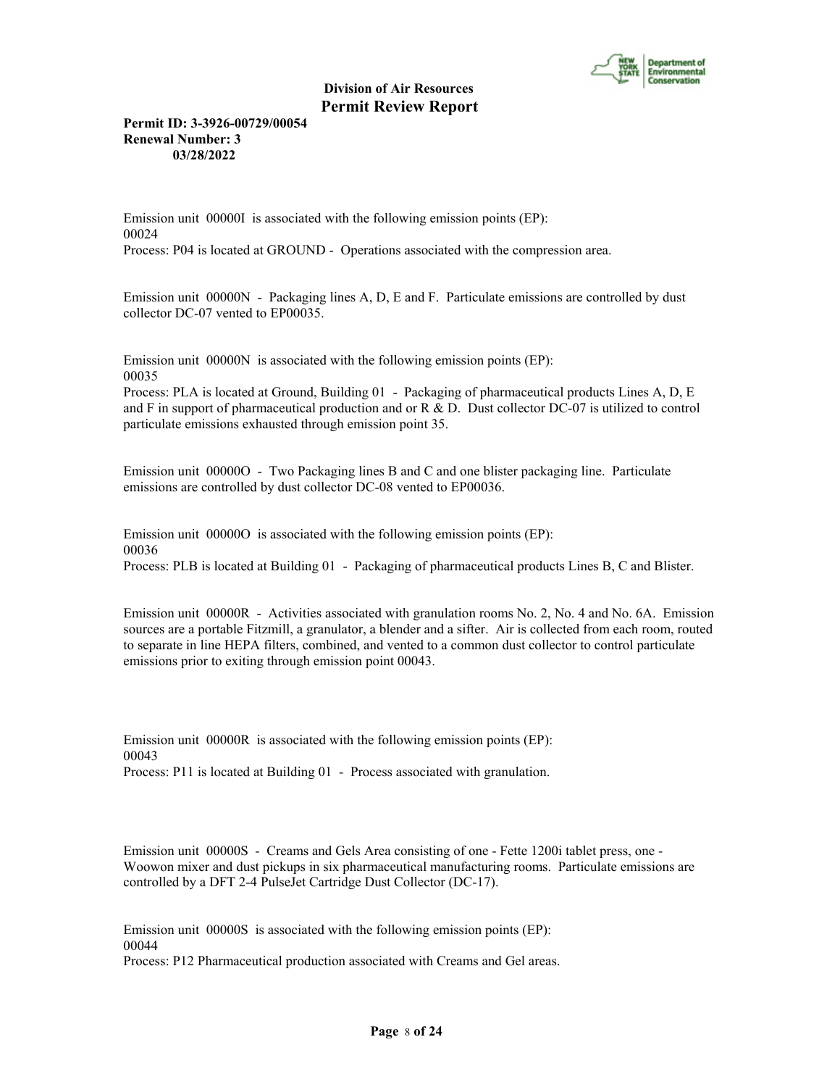

**Permit ID: 3-3926-00729/00054 Renewal Number: 3 03/28/2022**

Emission unit 00000I is associated with the following emission points (EP): 00024 Process: P04 is located at GROUND - Operations associated with the compression area.

Emission unit 00000N - Packaging lines A, D, E and F. Particulate emissions are controlled by dust collector DC-07 vented to EP00035.

Emission unit 00000N is associated with the following emission points (EP): 00035

Process: PLA is located at Ground, Building 01 - Packaging of pharmaceutical products Lines A, D, E and F in support of pharmaceutical production and or R & D. Dust collector DC-07 is utilized to control particulate emissions exhausted through emission point 35.

Emission unit 00000O - Two Packaging lines B and C and one blister packaging line. Particulate emissions are controlled by dust collector DC-08 vented to EP00036.

Emission unit 000000 is associated with the following emission points (EP): 00036 Process: PLB is located at Building 01 - Packaging of pharmaceutical products Lines B, C and Blister.

Emission unit 00000R - Activities associated with granulation rooms No. 2, No. 4 and No. 6A. Emission sources are a portable Fitzmill, a granulator, a blender and a sifter. Air is collected from each room, routed to separate in line HEPA filters, combined, and vented to a common dust collector to control particulate emissions prior to exiting through emission point 00043.

Emission unit 00000R is associated with the following emission points (EP): 00043 Process: P11 is located at Building 01 - Process associated with granulation.

Emission unit 00000S - Creams and Gels Area consisting of one - Fette 1200i tablet press, one - Woowon mixer and dust pickups in six pharmaceutical manufacturing rooms. Particulate emissions are controlled by a DFT 2-4 PulseJet Cartridge Dust Collector (DC-17).

Emission unit 00000S is associated with the following emission points (EP): 00044 Process: P12 Pharmaceutical production associated with Creams and Gel areas.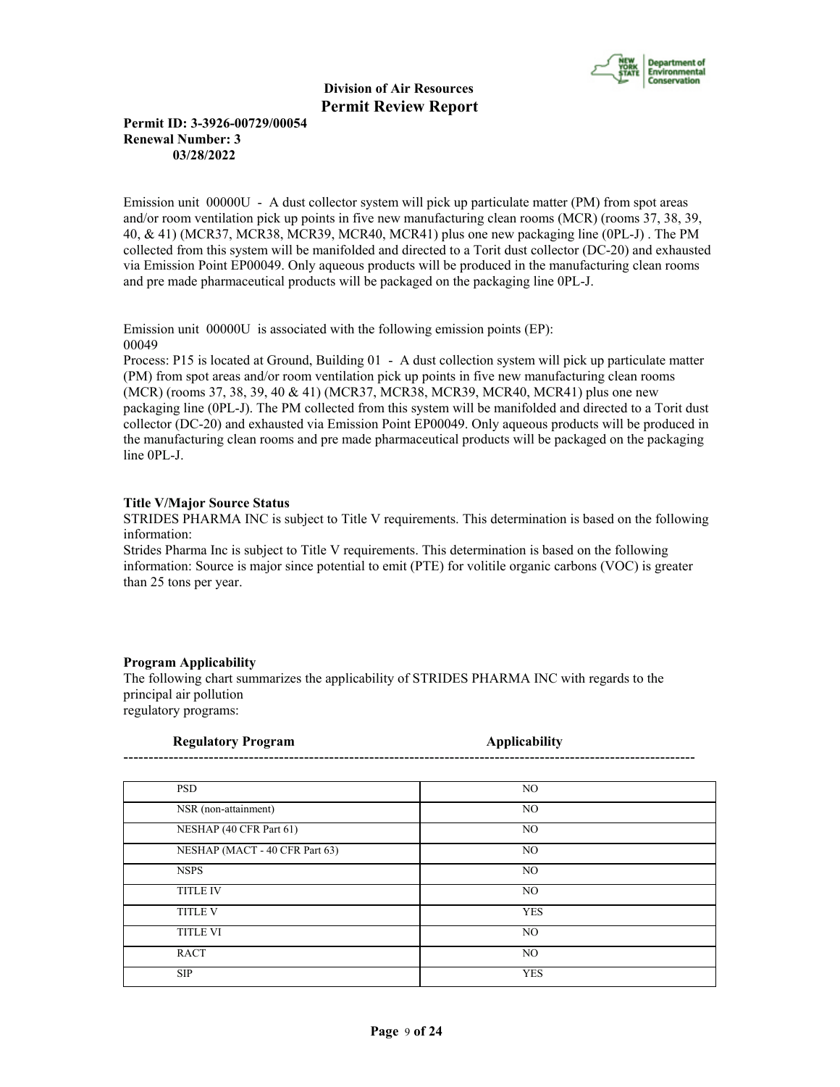

# **Permit ID: 3-3926-00729/00054 Renewal Number: 3 03/28/2022**

Emission unit 00000U - A dust collector system will pick up particulate matter (PM) from spot areas and/or room ventilation pick up points in five new manufacturing clean rooms (MCR) (rooms 37, 38, 39, 40, & 41) (MCR37, MCR38, MCR39, MCR40, MCR41) plus one new packaging line (0PL-J) . The PM collected from this system will be manifolded and directed to a Torit dust collector (DC-20) and exhausted via Emission Point EP00049. Only aqueous products will be produced in the manufacturing clean rooms and pre made pharmaceutical products will be packaged on the packaging line 0PL-J.

Emission unit 00000U is associated with the following emission points (EP): 00049

Process: P15 is located at Ground, Building 01 - A dust collection system will pick up particulate matter (PM) from spot areas and/or room ventilation pick up points in five new manufacturing clean rooms (MCR) (rooms 37, 38, 39, 40 & 41) (MCR37, MCR38, MCR39, MCR40, MCR41) plus one new packaging line (0PL-J). The PM collected from this system will be manifolded and directed to a Torit dust collector (DC-20) and exhausted via Emission Point EP00049. Only aqueous products will be produced in the manufacturing clean rooms and pre made pharmaceutical products will be packaged on the packaging line 0PL-J.

# **Title V/Major Source Status**

STRIDES PHARMA INC is subject to Title V requirements. This determination is based on the following information:

Strides Pharma Inc is subject to Title V requirements. This determination is based on the following information: Source is major since potential to emit (PTE) for volitile organic carbons (VOC) is greater than 25 tons per year.

#### **Program Applicability**

The following chart summarizes the applicability of STRIDES PHARMA INC with regards to the principal air pollution regulatory programs:

| <b>Regulatory Program</b>      | <b>Applicability</b> |  |
|--------------------------------|----------------------|--|
|                                |                      |  |
| <b>PSD</b>                     | NO.                  |  |
| NSR (non-attainment)           | NO                   |  |
| NESHAP (40 CFR Part 61)        | NO.                  |  |
| NESHAP (MACT - 40 CFR Part 63) | NO.                  |  |
| <b>NSPS</b>                    | NO.                  |  |
| <b>TITLE IV</b>                | NO.                  |  |
| <b>TITLE V</b>                 | <b>YES</b>           |  |
| <b>TITLE VI</b>                | NO                   |  |
| <b>RACT</b>                    | NO                   |  |
| <b>SIP</b>                     | <b>YES</b>           |  |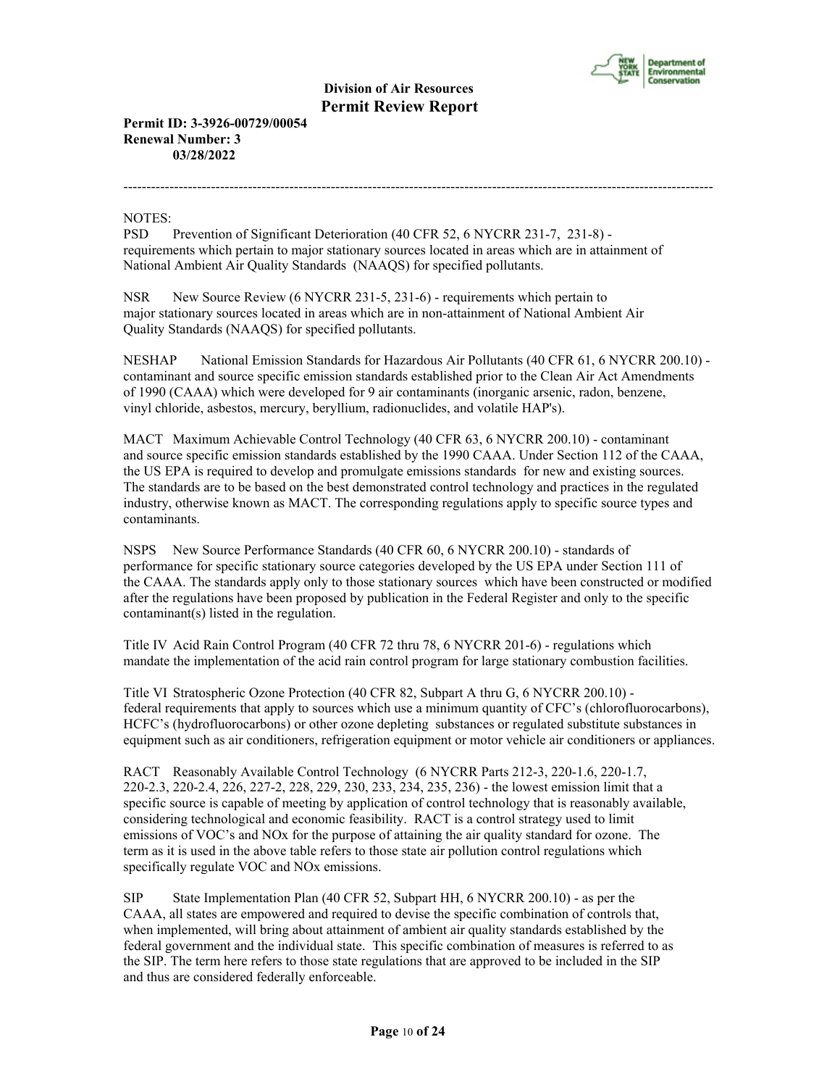

--------------------------------------------------------------------------------------------------------------------------------

**Permit ID: 3-3926-00729/00054 Renewal Number: 3 03/28/2022**

NOTES:

PSD Prevention of Significant Deterioration (40 CFR 52, 6 NYCRR 231-7, 231-8) requirements which pertain to major stationary sources located in areas which are in attainment of National Ambient Air Quality Standards (NAAQS) for specified pollutants.

NSR New Source Review (6 NYCRR 231-5, 231-6) - requirements which pertain to major stationary sources located in areas which are in non-attainment of National Ambient Air Quality Standards (NAAQS) for specified pollutants.

NESHAP National Emission Standards for Hazardous Air Pollutants (40 CFR 61, 6 NYCRR 200.10) contaminant and source specific emission standards established prior to the Clean Air Act Amendments of 1990 (CAAA) which were developed for 9 air contaminants (inorganic arsenic, radon, benzene, vinyl chloride, asbestos, mercury, beryllium, radionuclides, and volatile HAP's).

MACT Maximum Achievable Control Technology (40 CFR 63, 6 NYCRR 200.10) - contaminant and source specific emission standards established by the 1990 CAAA. Under Section 112 of the CAAA, the US EPA is required to develop and promulgate emissions standards for new and existing sources. The standards are to be based on the best demonstrated control technology and practices in the regulated industry, otherwise known as MACT. The corresponding regulations apply to specific source types and contaminants.

NSPS New Source Performance Standards (40 CFR 60, 6 NYCRR 200.10) - standards of performance for specific stationary source categories developed by the US EPA under Section 111 of the CAAA. The standards apply only to those stationary sources which have been constructed or modified after the regulations have been proposed by publication in the Federal Register and only to the specific contaminant(s) listed in the regulation.

Title IV Acid Rain Control Program (40 CFR 72 thru 78, 6 NYCRR 201-6) - regulations which mandate the implementation of the acid rain control program for large stationary combustion facilities.

Title VI Stratospheric Ozone Protection (40 CFR 82, Subpart A thru G, 6 NYCRR 200.10) federal requirements that apply to sources which use a minimum quantity of CFC's (chlorofluorocarbons), HCFC's (hydrofluorocarbons) or other ozone depleting substances or regulated substitute substances in equipment such as air conditioners, refrigeration equipment or motor vehicle air conditioners or appliances.

RACT Reasonably Available Control Technology (6 NYCRR Parts 212-3, 220-1.6, 220-1.7, 220-2.3, 220-2.4, 226, 227-2, 228, 229, 230, 233, 234, 235, 236) - the lowest emission limit that a specific source is capable of meeting by application of control technology that is reasonably available, considering technological and economic feasibility. RACT is a control strategy used to limit emissions of VOC's and NOx for the purpose of attaining the air quality standard for ozone. The term as it is used in the above table refers to those state air pollution control regulations which specifically regulate VOC and NOx emissions.

SIP State Implementation Plan (40 CFR 52, Subpart HH, 6 NYCRR 200.10) - as per the CAAA, all states are empowered and required to devise the specific combination of controls that, when implemented, will bring about attainment of ambient air quality standards established by the federal government and the individual state. This specific combination of measures is referred to as the SIP. The term here refers to those state regulations that are approved to be included in the SIP and thus are considered federally enforceable.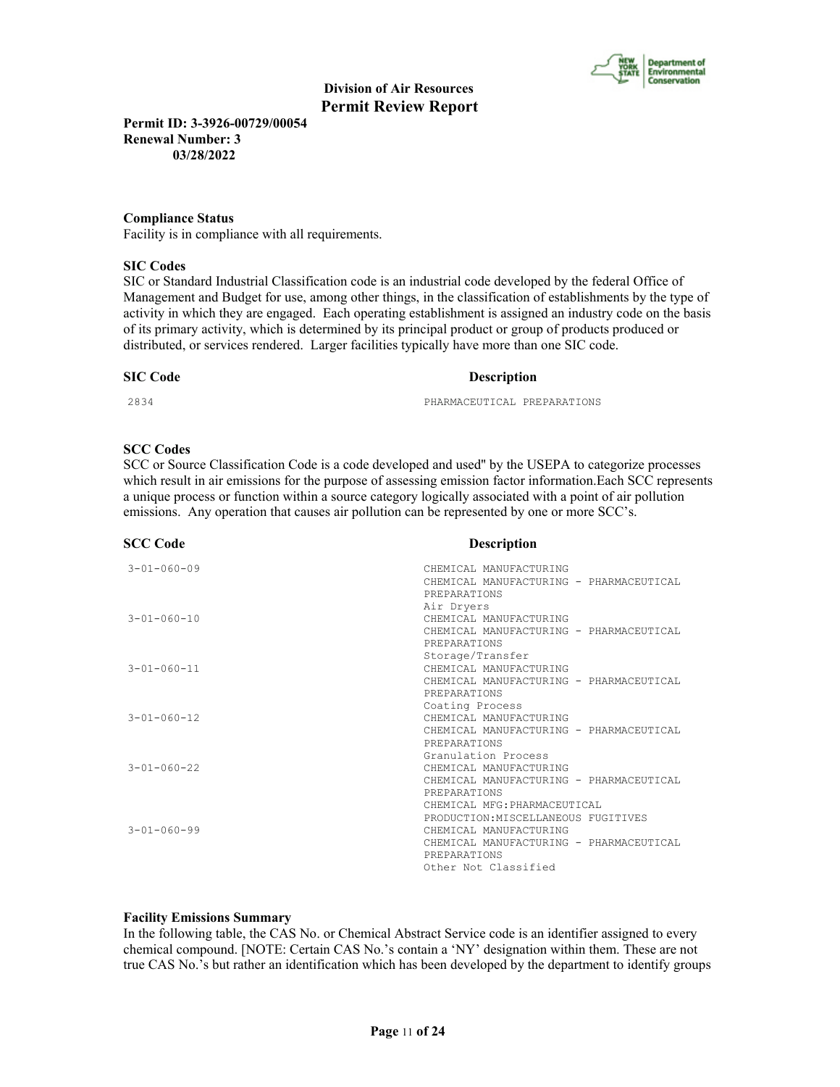

**Permit ID: 3-3926-00729/00054 Renewal Number: 3 03/28/2022**

# **Compliance Status**

Facility is in compliance with all requirements.

## **SIC Codes**

SIC or Standard Industrial Classification code is an industrial code developed by the federal Office of Management and Budget for use, among other things, in the classification of establishments by the type of activity in which they are engaged. Each operating establishment is assigned an industry code on the basis of its primary activity, which is determined by its principal product or group of products produced or distributed, or services rendered. Larger facilities typically have more than one SIC code.

#### **SIC Code Description**

2834 PHARMACEUTICAL PREPARATIONS

# **SCC Codes**

SCC or Source Classification Code is a code developed and used'' by the USEPA to categorize processes which result in air emissions for the purpose of assessing emission factor information.Each SCC represents a unique process or function within a source category logically associated with a point of air pollution emissions. Any operation that causes air pollution can be represented by one or more SCC's.

| <b>SCC Code</b>     | <b>Description</b>                                                |
|---------------------|-------------------------------------------------------------------|
| $3 - 01 - 060 - 09$ | CHEMICAL MANUFACTURING<br>CHEMICAL MANUFACTURING - PHARMACEUTICAL |
|                     | PREPARATIONS                                                      |
|                     | Air Dryers                                                        |
| $3 - 01 - 060 - 10$ | CHEMICAL MANUFACTURING                                            |
|                     | CHEMICAL MANUFACTURING - PHARMACEUTICAL                           |
|                     | PREPARATIONS                                                      |
|                     | Storage/Transfer                                                  |
| $3 - 01 - 060 - 11$ | CHEMICAL MANUFACTURING                                            |
|                     | CHEMICAL MANUFACTURING - PHARMACEUTICAL                           |
|                     | PREPARATIONS                                                      |
| $3 - 01 - 060 - 12$ | Coating Process<br>CHEMICAL MANUFACTURING                         |
|                     | CHEMICAL MANUFACTURING - PHARMACEUTICAL                           |
|                     | PREPARATIONS                                                      |
|                     | Granulation Process                                               |
| $3 - 01 - 060 - 22$ | CHEMICAL MANUFACTURING                                            |
|                     | CHEMICAL MANUFACTURING - PHARMACEUTICAL                           |
|                     | PREPARATIONS                                                      |
|                     | CHEMICAL MFG: PHARMACEUTICAL                                      |
|                     | PRODUCTION: MISCELLANEOUS FUGITIVES                               |
| $3 - 01 - 060 - 99$ | CHEMICAL MANUFACTURING                                            |
|                     | CHEMICAL MANUFACTURING - PHARMACEUTICAL                           |
|                     | PREPARATIONS                                                      |
|                     | Other Not Classified                                              |

# **Facility Emissions Summary**

In the following table, the CAS No. or Chemical Abstract Service code is an identifier assigned to every chemical compound. [NOTE: Certain CAS No.'s contain a 'NY' designation within them. These are not true CAS No.'s but rather an identification which has been developed by the department to identify groups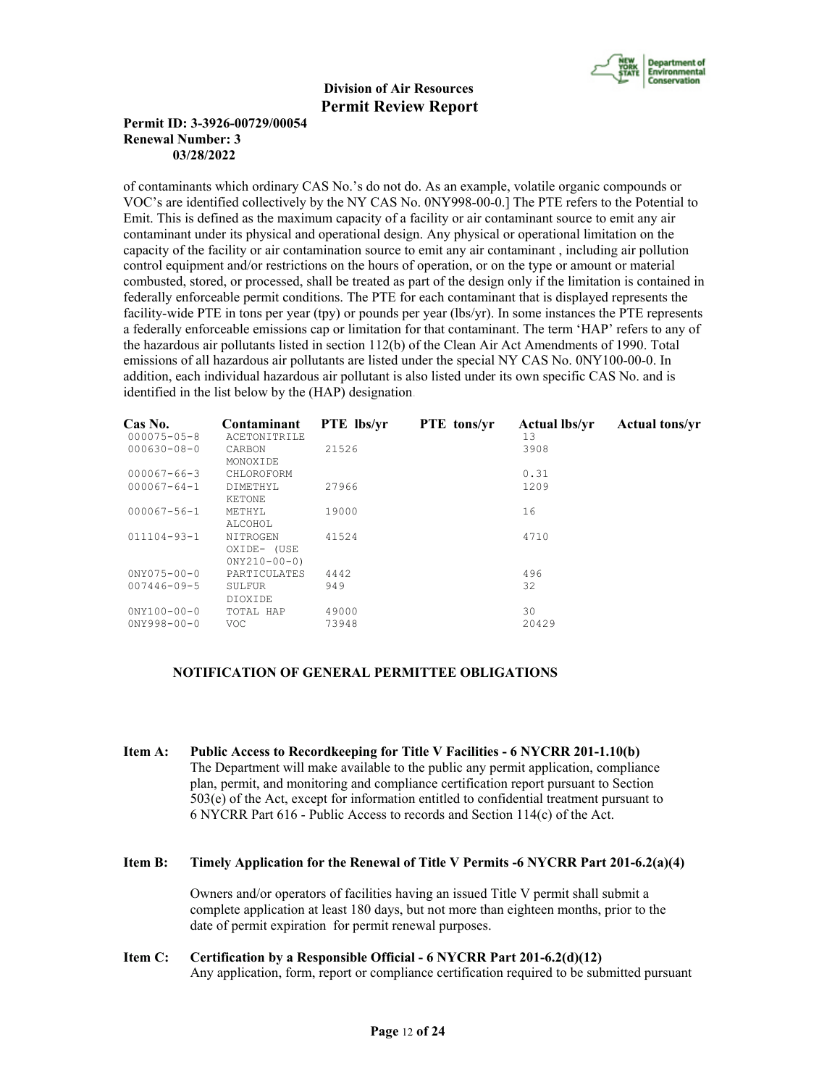

# **Permit ID: 3-3926-00729/00054 Renewal Number: 3 03/28/2022**

of contaminants which ordinary CAS No.'s do not do. As an example, volatile organic compounds or VOC's are identified collectively by the NY CAS No. 0NY998-00-0.] The PTE refers to the Potential to Emit. This is defined as the maximum capacity of a facility or air contaminant source to emit any air contaminant under its physical and operational design. Any physical or operational limitation on the capacity of the facility or air contamination source to emit any air contaminant , including air pollution control equipment and/or restrictions on the hours of operation, or on the type or amount or material combusted, stored, or processed, shall be treated as part of the design only if the limitation is contained in federally enforceable permit conditions. The PTE for each contaminant that is displayed represents the facility-wide PTE in tons per year (tpy) or pounds per year (lbs/yr). In some instances the PTE represents a federally enforceable emissions cap or limitation for that contaminant. The term 'HAP' refers to any of the hazardous air pollutants listed in section 112(b) of the Clean Air Act Amendments of 1990. Total emissions of all hazardous air pollutants are listed under the special NY CAS No. 0NY100-00-0. In addition, each individual hazardous air pollutant is also listed under its own specific CAS No. and is identified in the list below by the (HAP) designation.

| Cas No.           | Contaminant                               | <b>PTE</b> lbs/yr | <b>PTE</b> tons/yr | <b>Actual lbs/vr</b> | <b>Actual tons/yr</b> |
|-------------------|-------------------------------------------|-------------------|--------------------|----------------------|-----------------------|
| $000075 - 05 - 8$ | ACETONITRILE                              |                   |                    | 13                   |                       |
| $000630 - 08 - 0$ | CARBON<br>MONOXIDE                        | 21526             |                    | 3908                 |                       |
| $000067 - 66 - 3$ | CHLOROFORM                                |                   |                    | 0.31                 |                       |
| $000067 - 64 - 1$ | DIMETHYL<br>KETONE                        | 27966             |                    |                      |                       |
| 000067-56-1       | METHYL<br>ALCOHOL                         | 19000<br>16       |                    |                      |                       |
| 011104-93-1       | NITROGEN<br>OXIDE- (USE<br>$0NY210-00-0)$ | 41524<br>4710     |                    |                      |                       |
| $0NY075 - 00 - 0$ | PARTICULATES                              | 4442              |                    | 496                  |                       |
| $007446 - 09 - 5$ | SULFUR<br>DIOXIDE                         | 949               |                    | 32                   |                       |
| $0'NY100-00-0$    | TOTAL HAP                                 | 49000             |                    | 30                   |                       |
| $0NY998 - 00 - 0$ | VOC.                                      | 73948             |                    | 20429                |                       |

# **NOTIFICATION OF GENERAL PERMITTEE OBLIGATIONS**

- **Item A: Public Access to Recordkeeping for Title V Facilities 6 NYCRR 201-1.10(b)** The Department will make available to the public any permit application, compliance plan, permit, and monitoring and compliance certification report pursuant to Section 503(e) of the Act, except for information entitled to confidential treatment pursuant to 6 NYCRR Part 616 - Public Access to records and Section 114(c) of the Act.
- **Item B: Timely Application for the Renewal of Title V Permits -6 NYCRR Part 201-6.2(a)(4)**

 Owners and/or operators of facilities having an issued Title V permit shall submit a complete application at least 180 days, but not more than eighteen months, prior to the date of permit expiration for permit renewal purposes.

**Item C: Certification by a Responsible Official - 6 NYCRR Part 201-6.2(d)(12)** Any application, form, report or compliance certification required to be submitted pursuant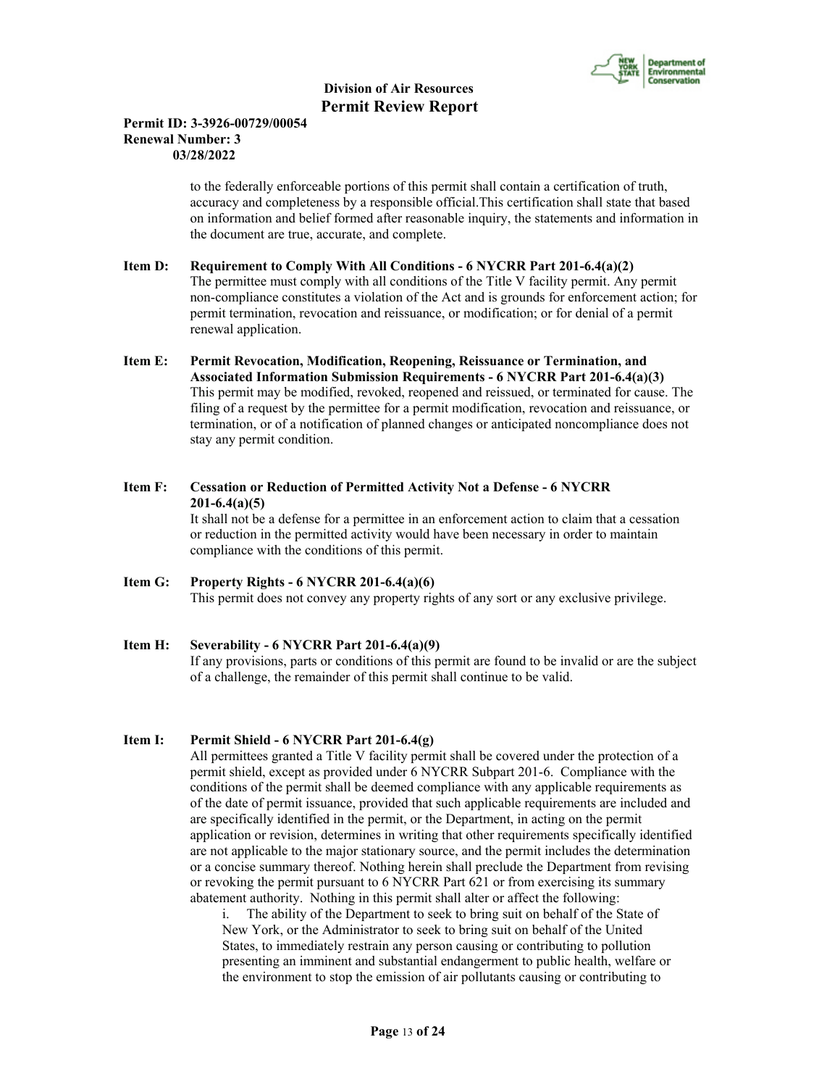

# **Permit ID: 3-3926-00729/00054 Renewal Number: 3 03/28/2022**

 to the federally enforceable portions of this permit shall contain a certification of truth, accuracy and completeness by a responsible official.This certification shall state that based on information and belief formed after reasonable inquiry, the statements and information in the document are true, accurate, and complete.

# **Item D: Requirement to Comply With All Conditions - 6 NYCRR Part 201-6.4(a)(2)**

 The permittee must comply with all conditions of the Title V facility permit. Any permit non-compliance constitutes a violation of the Act and is grounds for enforcement action; for permit termination, revocation and reissuance, or modification; or for denial of a permit renewal application.

**Item E: Permit Revocation, Modification, Reopening, Reissuance or Termination, and Associated Information Submission Requirements - 6 NYCRR Part 201-6.4(a)(3)** This permit may be modified, revoked, reopened and reissued, or terminated for cause. The filing of a request by the permittee for a permit modification, revocation and reissuance, or termination, or of a notification of planned changes or anticipated noncompliance does not stay any permit condition.

# **Item F: Cessation or Reduction of Permitted Activity Not a Defense - 6 NYCRR 201-6.4(a)(5)**

 It shall not be a defense for a permittee in an enforcement action to claim that a cessation or reduction in the permitted activity would have been necessary in order to maintain compliance with the conditions of this permit.

# **Item G: Property Rights - 6 NYCRR 201-6.4(a)(6)**

This permit does not convey any property rights of any sort or any exclusive privilege.

### **Item H: Severability - 6 NYCRR Part 201-6.4(a)(9)** If any provisions, parts or conditions of this permit are found to be invalid or are the subject of a challenge, the remainder of this permit shall continue to be valid.

# **Item I: Permit Shield - 6 NYCRR Part 201-6.4(g)**

 All permittees granted a Title V facility permit shall be covered under the protection of a permit shield, except as provided under 6 NYCRR Subpart 201-6. Compliance with the conditions of the permit shall be deemed compliance with any applicable requirements as of the date of permit issuance, provided that such applicable requirements are included and are specifically identified in the permit, or the Department, in acting on the permit application or revision, determines in writing that other requirements specifically identified are not applicable to the major stationary source, and the permit includes the determination or a concise summary thereof. Nothing herein shall preclude the Department from revising or revoking the permit pursuant to 6 NYCRR Part 621 or from exercising its summary abatement authority. Nothing in this permit shall alter or affect the following:

i. The ability of the Department to seek to bring suit on behalf of the State of New York, or the Administrator to seek to bring suit on behalf of the United States, to immediately restrain any person causing or contributing to pollution presenting an imminent and substantial endangerment to public health, welfare or the environment to stop the emission of air pollutants causing or contributing to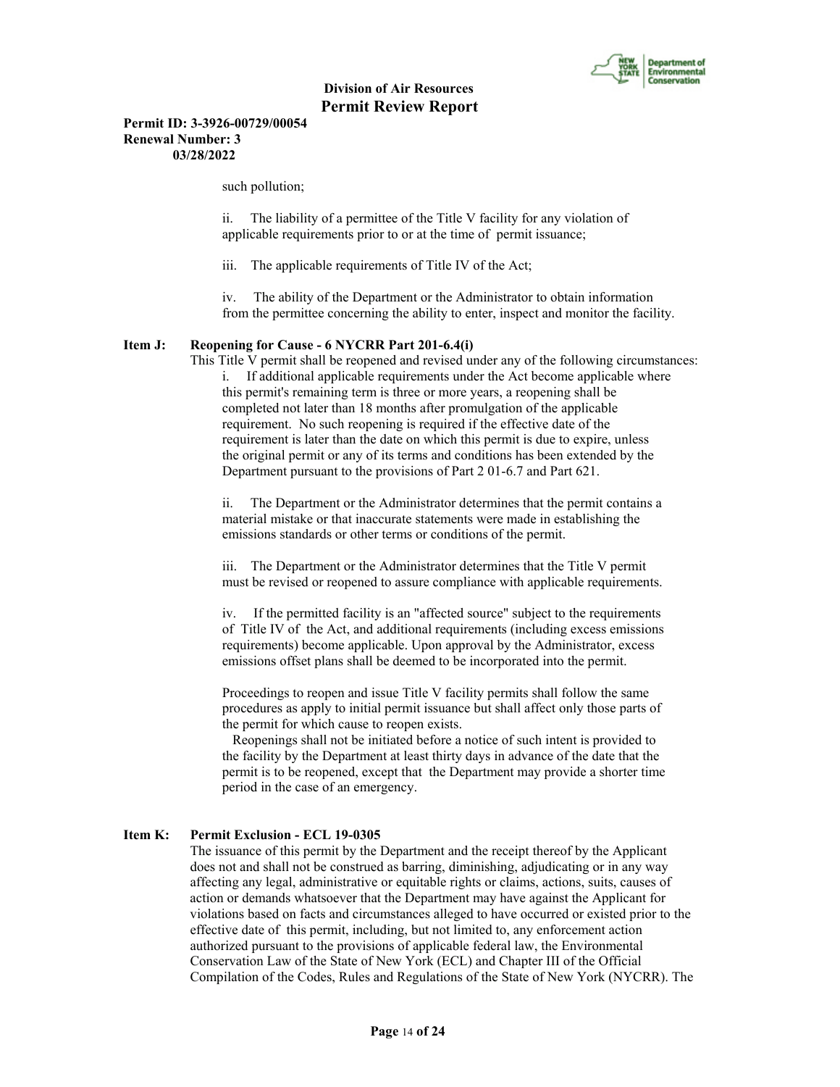

**Permit ID: 3-3926-00729/00054 Renewal Number: 3 03/28/2022**

such pollution;

ii. The liability of a permittee of the Title V facility for any violation of applicable requirements prior to or at the time of permit issuance;

iii. The applicable requirements of Title IV of the Act;

iv. The ability of the Department or the Administrator to obtain information from the permittee concerning the ability to enter, inspect and monitor the facility.

#### **Item J: Reopening for Cause - 6 NYCRR Part 201-6.4(i)**

 This Title V permit shall be reopened and revised under any of the following circumstances: i. If additional applicable requirements under the Act become applicable where this permit's remaining term is three or more years, a reopening shall be completed not later than 18 months after promulgation of the applicable requirement. No such reopening is required if the effective date of the requirement is later than the date on which this permit is due to expire, unless the original permit or any of its terms and conditions has been extended by the Department pursuant to the provisions of Part 2 01-6.7 and Part 621.

ii. The Department or the Administrator determines that the permit contains a material mistake or that inaccurate statements were made in establishing the emissions standards or other terms or conditions of the permit.

iii. The Department or the Administrator determines that the Title V permit must be revised or reopened to assure compliance with applicable requirements.

iv. If the permitted facility is an "affected source" subject to the requirements of Title IV of the Act, and additional requirements (including excess emissions requirements) become applicable. Upon approval by the Administrator, excess emissions offset plans shall be deemed to be incorporated into the permit.

Proceedings to reopen and issue Title V facility permits shall follow the same procedures as apply to initial permit issuance but shall affect only those parts of the permit for which cause to reopen exists.

 Reopenings shall not be initiated before a notice of such intent is provided to the facility by the Department at least thirty days in advance of the date that the permit is to be reopened, except that the Department may provide a shorter time period in the case of an emergency.

#### **Item K: Permit Exclusion - ECL 19-0305**

 The issuance of this permit by the Department and the receipt thereof by the Applicant does not and shall not be construed as barring, diminishing, adjudicating or in any way affecting any legal, administrative or equitable rights or claims, actions, suits, causes of action or demands whatsoever that the Department may have against the Applicant for violations based on facts and circumstances alleged to have occurred or existed prior to the effective date of this permit, including, but not limited to, any enforcement action authorized pursuant to the provisions of applicable federal law, the Environmental Conservation Law of the State of New York (ECL) and Chapter III of the Official Compilation of the Codes, Rules and Regulations of the State of New York (NYCRR). The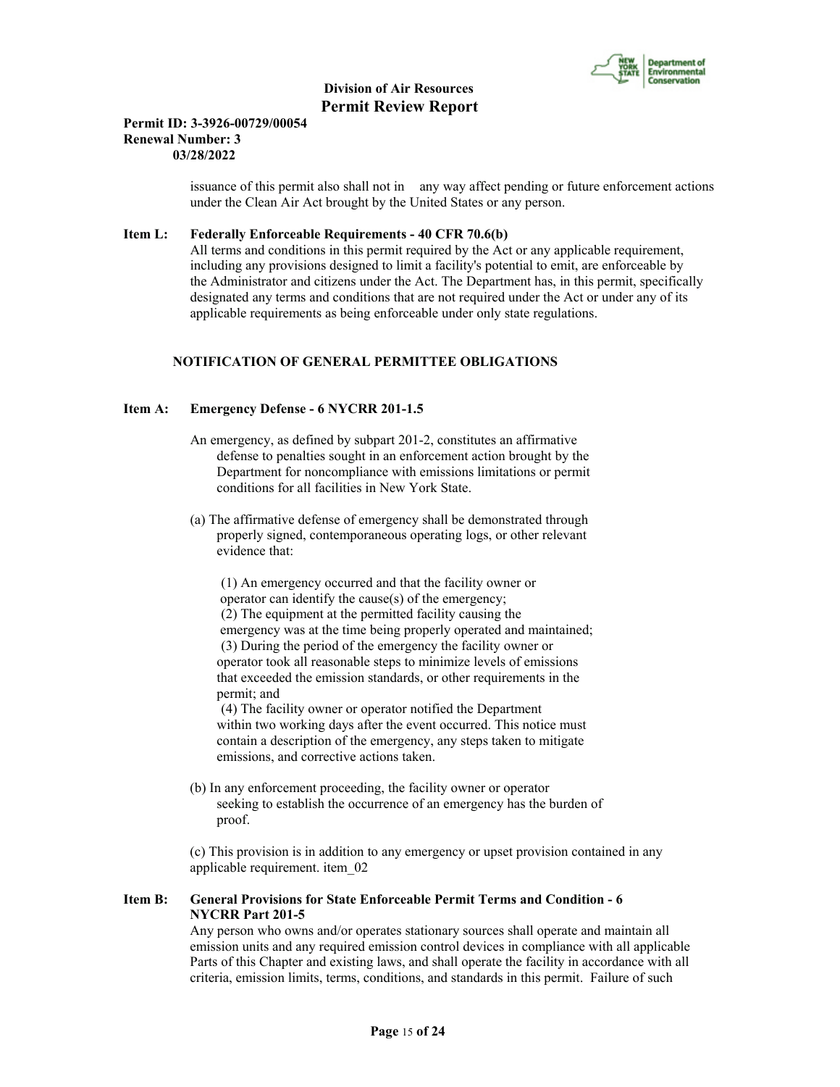

#### **Permit ID: 3-3926-00729/00054 Renewal Number: 3 03/28/2022**

 issuance of this permit also shall not in any way affect pending or future enforcement actions under the Clean Air Act brought by the United States or any person.

# **Item L: Federally Enforceable Requirements - 40 CFR 70.6(b)**

 All terms and conditions in this permit required by the Act or any applicable requirement, including any provisions designed to limit a facility's potential to emit, are enforceable by the Administrator and citizens under the Act. The Department has, in this permit, specifically designated any terms and conditions that are not required under the Act or under any of its applicable requirements as being enforceable under only state regulations.

# **NOTIFICATION OF GENERAL PERMITTEE OBLIGATIONS**

#### **Item A: Emergency Defense - 6 NYCRR 201-1.5**

- An emergency, as defined by subpart 201-2, constitutes an affirmative defense to penalties sought in an enforcement action brought by the Department for noncompliance with emissions limitations or permit conditions for all facilities in New York State.
- (a) The affirmative defense of emergency shall be demonstrated through properly signed, contemporaneous operating logs, or other relevant evidence that:

 (1) An emergency occurred and that the facility owner or operator can identify the cause(s) of the emergency; (2) The equipment at the permitted facility causing the emergency was at the time being properly operated and maintained; (3) During the period of the emergency the facility owner or operator took all reasonable steps to minimize levels of emissions that exceeded the emission standards, or other requirements in the permit; and

 (4) The facility owner or operator notified the Department within two working days after the event occurred. This notice must contain a description of the emergency, any steps taken to mitigate emissions, and corrective actions taken.

 (b) In any enforcement proceeding, the facility owner or operator seeking to establish the occurrence of an emergency has the burden of proof.

 (c) This provision is in addition to any emergency or upset provision contained in any applicable requirement. item\_02

## **Item B: General Provisions for State Enforceable Permit Terms and Condition - 6 NYCRR Part 201-5**

 Any person who owns and/or operates stationary sources shall operate and maintain all emission units and any required emission control devices in compliance with all applicable Parts of this Chapter and existing laws, and shall operate the facility in accordance with all criteria, emission limits, terms, conditions, and standards in this permit. Failure of such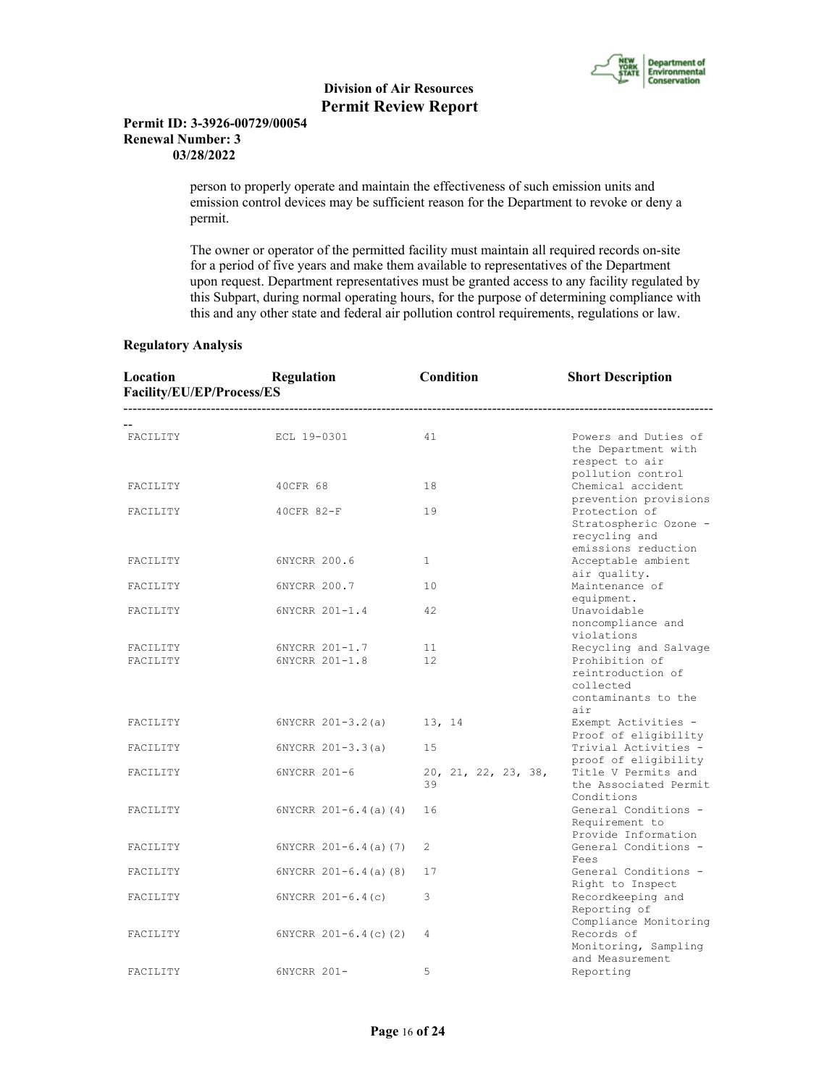

## **Permit ID: 3-3926-00729/00054 Renewal Number: 3 03/28/2022**

 person to properly operate and maintain the effectiveness of such emission units and emission control devices may be sufficient reason for the Department to revoke or deny a permit.

 The owner or operator of the permitted facility must maintain all required records on-site for a period of five years and make them available to representatives of the Department upon request. Department representatives must be granted access to any facility regulated by this Subpart, during normal operating hours, for the purpose of determining compliance with this and any other state and federal air pollution control requirements, regulations or law.

# **Regulatory Analysis**

| Location<br>Regulation<br>Facility/EU/EP/Process/ES |                               | Condition                           | <b>Short Description</b>                                                           |  |
|-----------------------------------------------------|-------------------------------|-------------------------------------|------------------------------------------------------------------------------------|--|
|                                                     | ----------------------------- | ----------------------------------- |                                                                                    |  |
| FACILITY                                            | ECL 19-0301                   | 41                                  | Powers and Duties of<br>the Department with<br>respect to air<br>pollution control |  |
| FACILITY                                            | 40CFR 68                      | 18                                  | Chemical accident<br>prevention provisions                                         |  |
| FACILITY                                            | 40CFR 82-F                    | 19                                  | Protection of<br>Stratospheric Ozone -<br>recycling and<br>emissions reduction     |  |
| FACILITY                                            | 6NYCRR 200.6                  | 1                                   | Acceptable ambient<br>air quality.                                                 |  |
| FACILITY                                            | 6NYCRR 200.7                  | 10                                  | Maintenance of<br>equipment.                                                       |  |
| FACILITY                                            | 6NYCRR 201-1.4                | 42                                  | Unavoidable<br>noncompliance and<br>violations                                     |  |
| FACILITY                                            | 6NYCRR 201-1.7                | 11                                  | Recycling and Salvage                                                              |  |
| FACILITY                                            | 6NYCRR 201-1.8                | 12                                  | Prohibition of<br>reintroduction of<br>collected<br>contaminants to the<br>air     |  |
| FACILITY                                            | $6NYCRR 201 - 3.2(a)$         | 13, 14                              | Exempt Activities -<br>Proof of eligibility                                        |  |
| FACILITY                                            | $6NYCRR 201-3.3(a)$           | 15                                  | Trivial Activities -<br>proof of eligibility                                       |  |
| FACILITY                                            | 6NYCRR 201-6                  | 20, 21, 22, 23, 38,<br>39           | Title V Permits and<br>the Associated Permit<br>Conditions                         |  |
| FACILITY                                            | $6NYCRR$ $201-6.4$ (a) (4)    | 16                                  | General Conditions -<br>Requirement to<br>Provide Information                      |  |
| FACILITY                                            | $6NYCRR 201-6.4(a) (7)$       | 2                                   | General Conditions -<br>Fees                                                       |  |
| FACILITY                                            | $6NYCRR 201-6.4(a)$ (8)       | 17                                  | General Conditions -<br>Right to Inspect                                           |  |
| FACILITY                                            | $6NYCRR$ $201-6.4(c)$         | 3                                   | Recordkeeping and<br>Reporting of<br>Compliance Monitoring                         |  |
| FACILITY                                            | $6NYCRR$ 201-6.4(c)(2)        | 4                                   | Records of<br>Monitoring, Sampling<br>and Measurement                              |  |
| FACILITY                                            | 6NYCRR 201-                   | 5                                   | Reporting                                                                          |  |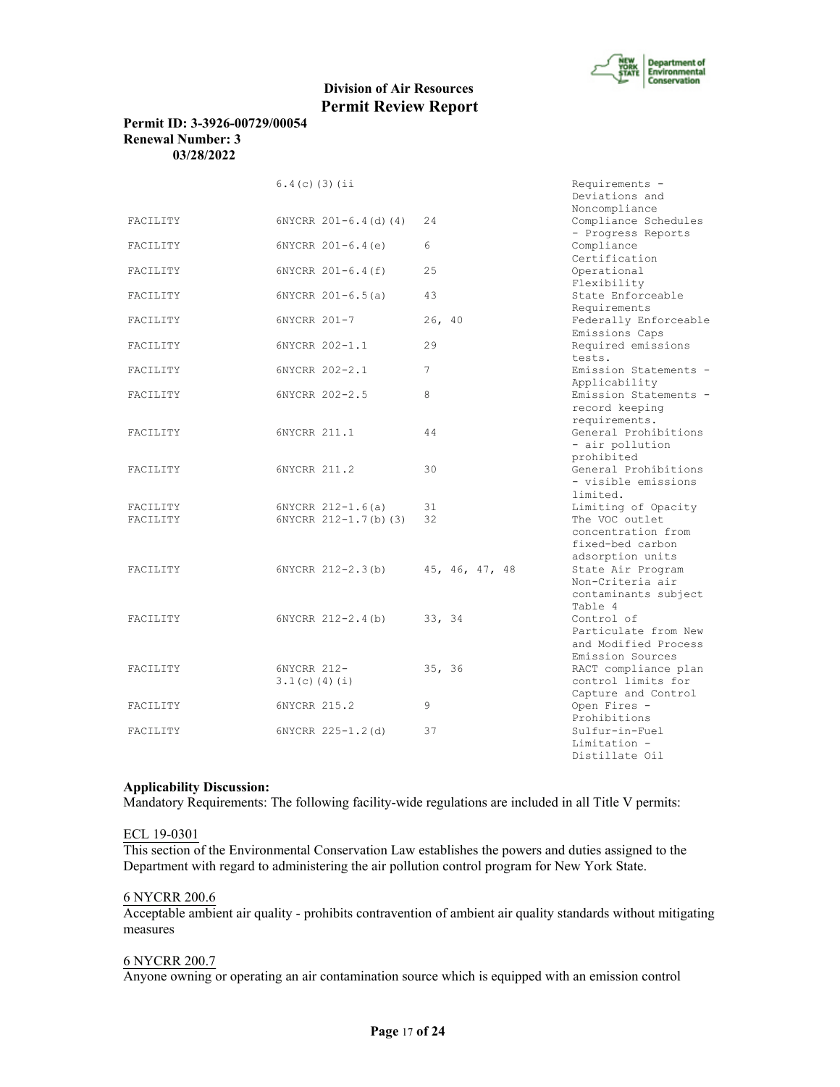

## **Permit ID: 3-3926-00729/00054 Renewal Number: 3 03/28/2022**

|          | $6.4(c)$ (3) (ii         |                | Requirements -                         |
|----------|--------------------------|----------------|----------------------------------------|
|          |                          |                | Deviations and                         |
|          |                          |                | Noncompliance                          |
| FACILITY | $6NYCRR 201-6.4$ (d) (4) | 24             | Compliance Schedules                   |
|          |                          |                | - Progress Reports                     |
| FACILITY | $6NYCRR 201-6.4(e)$      | 6              | Compliance                             |
|          |                          | 25             | Certification                          |
| FACILITY | 6NYCRR 201-6.4(f)        |                | Operational                            |
| FACILITY |                          | 43             | Flexibility<br>State Enforceable       |
|          | $6NYCRR 201-6.5(a)$      |                | Requirements                           |
| FACILITY | 6NYCRR 201-7             | 26, 40         |                                        |
|          |                          |                | Federally Enforceable                  |
|          | 6NYCRR 202-1.1           | 29             | Emissions Caps<br>Required emissions   |
| FACILITY |                          |                | tests.                                 |
|          |                          | 7              |                                        |
| FACILITY | 6NYCRR 202-2.1           |                | Emission Statements -                  |
| FACILITY | 6NYCRR 202-2.5           | 8              | Applicability<br>Emission Statements - |
|          |                          |                | record keeping                         |
|          |                          |                | requirements.                          |
| FACILITY | 6NYCRR 211.1             | 44             | General Prohibitions                   |
|          |                          |                | - air pollution                        |
|          |                          |                | prohibited                             |
| FACILITY | 6NYCRR 211.2             | 30             | General Prohibitions                   |
|          |                          |                | - visible emissions                    |
|          |                          |                | limited.                               |
| FACILITY | $6NYCRR 212-1.6(a)$      | 31             | Limiting of Opacity                    |
| FACILITY | $6NYCRR 212-1.7(b) (3)$  | 32             | The VOC outlet                         |
|          |                          |                | concentration from                     |
|          |                          |                | fixed-bed carbon                       |
|          |                          |                | adsorption units                       |
| FACILITY | 6NYCRR 212-2.3(b)        | 45, 46, 47, 48 | State Air Program                      |
|          |                          |                | Non-Criteria air                       |
|          |                          |                | contaminants subject                   |
|          |                          |                | Table 4                                |
| FACILITY | $6NYCRR$ $212-2.4(b)$    | 33, 34         | Control of                             |
|          |                          |                | Particulate from New                   |
|          |                          |                | and Modified Process                   |
|          |                          |                | Emission Sources                       |
| FACILITY | 6NYCRR 212-              | 35, 36         | RACT compliance plan                   |
|          | 3.1(c) (4) (i)           |                | control limits for                     |
|          |                          |                | Capture and Control                    |
| FACILITY | 6NYCRR 215.2             | 9              | Open Fires -                           |
|          |                          |                | Prohibitions                           |
| FACILITY | 6NYCRR 225-1.2(d)        | 37             | Sulfur-in-Fuel                         |
|          |                          |                | Limitation -                           |
|          |                          |                | Distillate Oil                         |

#### **Applicability Discussion:**

Mandatory Requirements: The following facility-wide regulations are included in all Title V permits:

#### ECL 19-0301

This section of the Environmental Conservation Law establishes the powers and duties assigned to the Department with regard to administering the air pollution control program for New York State.

#### 6 NYCRR 200.6

Acceptable ambient air quality - prohibits contravention of ambient air quality standards without mitigating measures

#### 6 NYCRR 200.7

Anyone owning or operating an air contamination source which is equipped with an emission control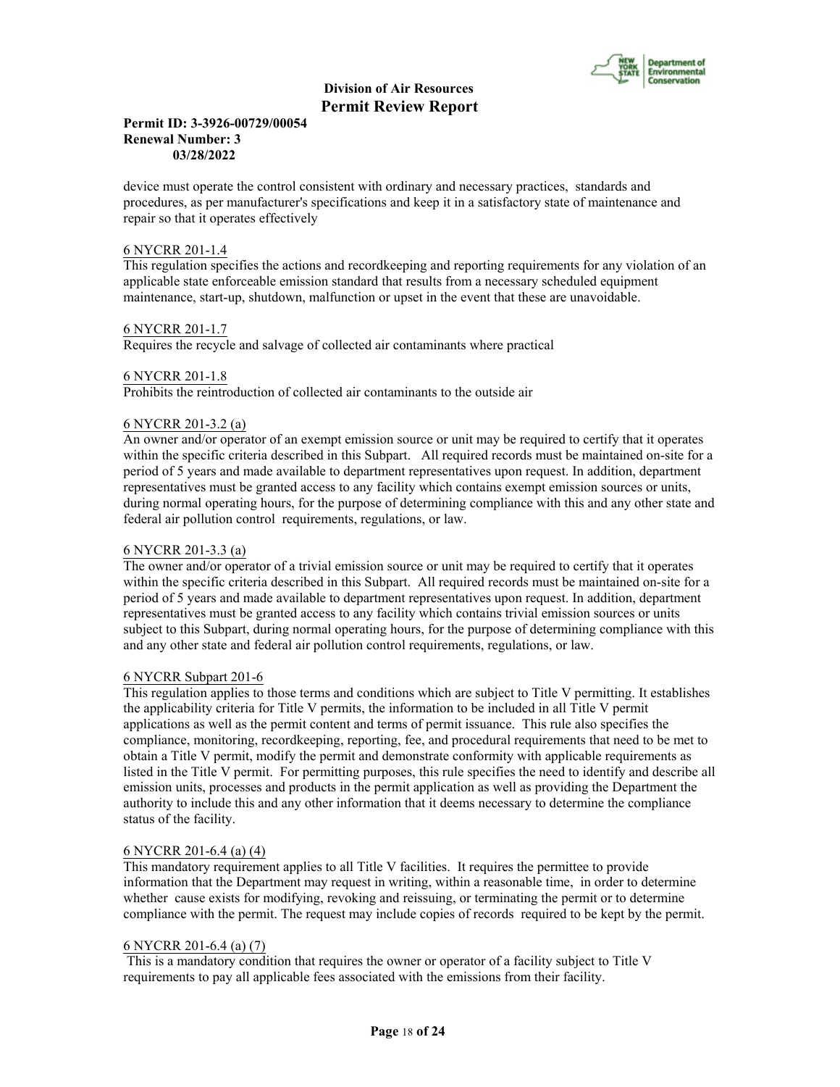

## **Permit ID: 3-3926-00729/00054 Renewal Number: 3 03/28/2022**

device must operate the control consistent with ordinary and necessary practices, standards and procedures, as per manufacturer's specifications and keep it in a satisfactory state of maintenance and repair so that it operates effectively

## 6 NYCRR 201-1.4

This regulation specifies the actions and recordkeeping and reporting requirements for any violation of an applicable state enforceable emission standard that results from a necessary scheduled equipment maintenance, start-up, shutdown, malfunction or upset in the event that these are unavoidable.

#### 6 NYCRR 201-1.7

Requires the recycle and salvage of collected air contaminants where practical

#### 6 NYCRR 201-1.8

Prohibits the reintroduction of collected air contaminants to the outside air

#### 6 NYCRR 201-3.2 (a)

An owner and/or operator of an exempt emission source or unit may be required to certify that it operates within the specific criteria described in this Subpart. All required records must be maintained on-site for a period of 5 years and made available to department representatives upon request. In addition, department representatives must be granted access to any facility which contains exempt emission sources or units, during normal operating hours, for the purpose of determining compliance with this and any other state and federal air pollution control requirements, regulations, or law.

## 6 NYCRR 201-3.3 (a)

The owner and/or operator of a trivial emission source or unit may be required to certify that it operates within the specific criteria described in this Subpart. All required records must be maintained on-site for a period of 5 years and made available to department representatives upon request. In addition, department representatives must be granted access to any facility which contains trivial emission sources or units subject to this Subpart, during normal operating hours, for the purpose of determining compliance with this and any other state and federal air pollution control requirements, regulations, or law.

#### 6 NYCRR Subpart 201-6

This regulation applies to those terms and conditions which are subject to Title V permitting. It establishes the applicability criteria for Title V permits, the information to be included in all Title V permit applications as well as the permit content and terms of permit issuance. This rule also specifies the compliance, monitoring, recordkeeping, reporting, fee, and procedural requirements that need to be met to obtain a Title V permit, modify the permit and demonstrate conformity with applicable requirements as listed in the Title V permit. For permitting purposes, this rule specifies the need to identify and describe all emission units, processes and products in the permit application as well as providing the Department the authority to include this and any other information that it deems necessary to determine the compliance status of the facility.

#### 6 NYCRR 201-6.4 (a) (4)

This mandatory requirement applies to all Title V facilities. It requires the permittee to provide information that the Department may request in writing, within a reasonable time, in order to determine whether cause exists for modifying, revoking and reissuing, or terminating the permit or to determine compliance with the permit. The request may include copies of records required to be kept by the permit.

#### 6 NYCRR 201-6.4 (a) (7)

 This is a mandatory condition that requires the owner or operator of a facility subject to Title V requirements to pay all applicable fees associated with the emissions from their facility.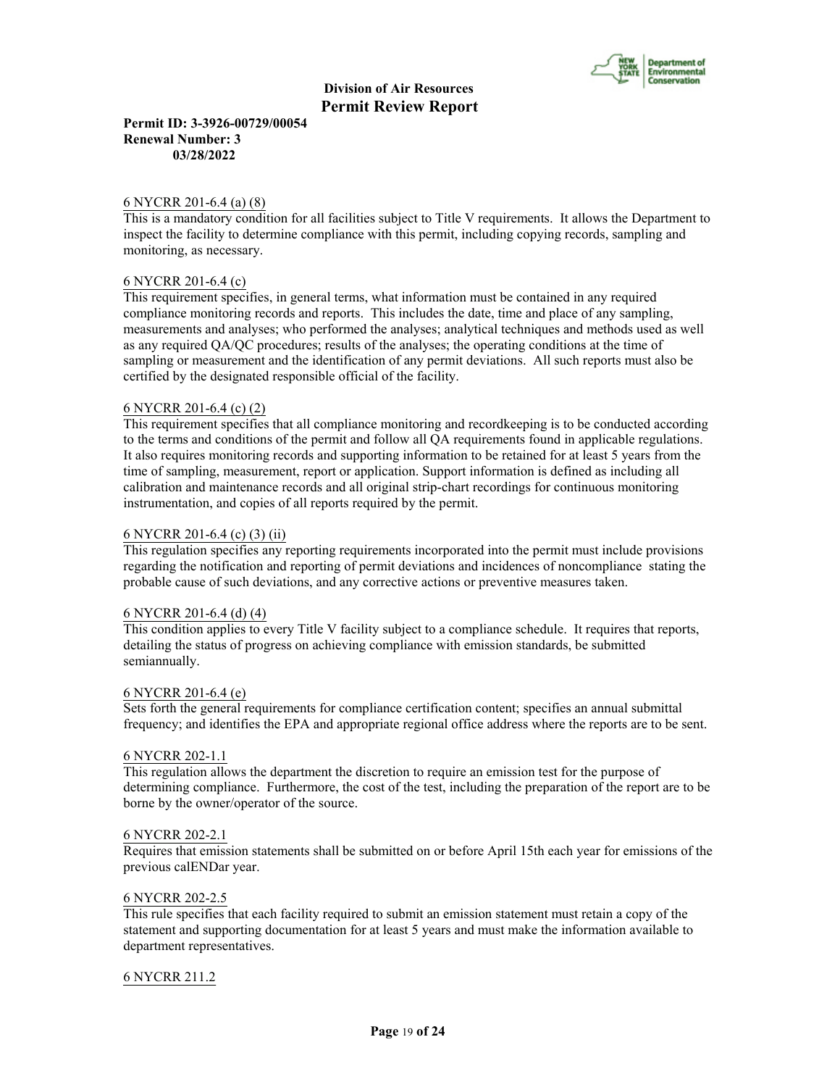

**Permit ID: 3-3926-00729/00054 Renewal Number: 3 03/28/2022**

#### 6 NYCRR 201-6.4 (a) (8)

This is a mandatory condition for all facilities subject to Title V requirements. It allows the Department to inspect the facility to determine compliance with this permit, including copying records, sampling and monitoring, as necessary.

#### 6 NYCRR 201-6.4 (c)

This requirement specifies, in general terms, what information must be contained in any required compliance monitoring records and reports. This includes the date, time and place of any sampling, measurements and analyses; who performed the analyses; analytical techniques and methods used as well as any required QA/QC procedures; results of the analyses; the operating conditions at the time of sampling or measurement and the identification of any permit deviations. All such reports must also be certified by the designated responsible official of the facility.

#### 6 NYCRR 201-6.4 (c) (2)

This requirement specifies that all compliance monitoring and recordkeeping is to be conducted according to the terms and conditions of the permit and follow all QA requirements found in applicable regulations. It also requires monitoring records and supporting information to be retained for at least 5 years from the time of sampling, measurement, report or application. Support information is defined as including all calibration and maintenance records and all original strip-chart recordings for continuous monitoring instrumentation, and copies of all reports required by the permit.

#### 6 NYCRR 201-6.4 (c) (3) (ii)

This regulation specifies any reporting requirements incorporated into the permit must include provisions regarding the notification and reporting of permit deviations and incidences of noncompliance stating the probable cause of such deviations, and any corrective actions or preventive measures taken.

#### 6 NYCRR 201-6.4 (d) (4)

This condition applies to every Title V facility subject to a compliance schedule. It requires that reports, detailing the status of progress on achieving compliance with emission standards, be submitted semiannually.

#### 6 NYCRR 201-6.4 (e)

Sets forth the general requirements for compliance certification content; specifies an annual submittal frequency; and identifies the EPA and appropriate regional office address where the reports are to be sent.

#### 6 NYCRR 202-1.1

This regulation allows the department the discretion to require an emission test for the purpose of determining compliance. Furthermore, the cost of the test, including the preparation of the report are to be borne by the owner/operator of the source.

#### 6 NYCRR 202-2.1

Requires that emission statements shall be submitted on or before April 15th each year for emissions of the previous calENDar year.

#### 6 NYCRR 202-2.5

This rule specifies that each facility required to submit an emission statement must retain a copy of the statement and supporting documentation for at least 5 years and must make the information available to department representatives.

#### 6 NYCRR 211.2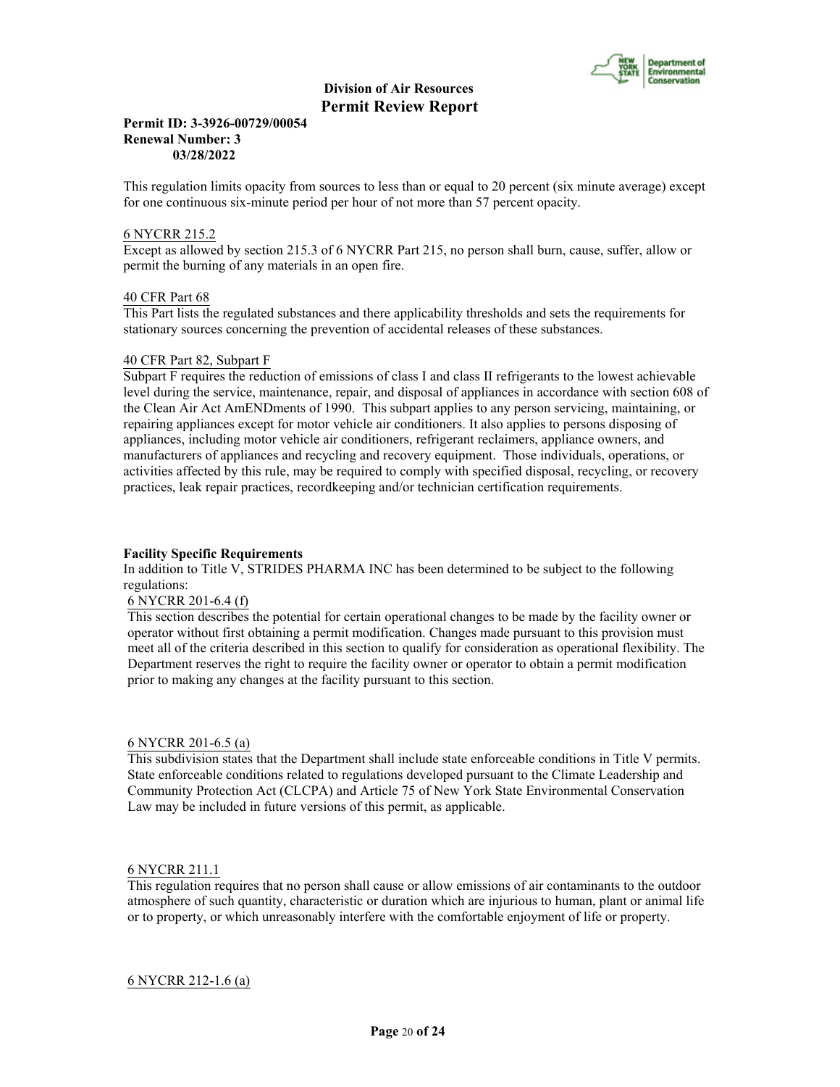

## **Permit ID: 3-3926-00729/00054 Renewal Number: 3 03/28/2022**

This regulation limits opacity from sources to less than or equal to 20 percent (six minute average) except for one continuous six-minute period per hour of not more than 57 percent opacity.

## 6 NYCRR 215.2

Except as allowed by section 215.3 of 6 NYCRR Part 215, no person shall burn, cause, suffer, allow or permit the burning of any materials in an open fire.

#### 40 CFR Part 68

This Part lists the regulated substances and there applicability thresholds and sets the requirements for stationary sources concerning the prevention of accidental releases of these substances.

#### 40 CFR Part 82, Subpart F

Subpart F requires the reduction of emissions of class I and class II refrigerants to the lowest achievable level during the service, maintenance, repair, and disposal of appliances in accordance with section 608 of the Clean Air Act AmENDments of 1990. This subpart applies to any person servicing, maintaining, or repairing appliances except for motor vehicle air conditioners. It also applies to persons disposing of appliances, including motor vehicle air conditioners, refrigerant reclaimers, appliance owners, and manufacturers of appliances and recycling and recovery equipment. Those individuals, operations, or activities affected by this rule, may be required to comply with specified disposal, recycling, or recovery practices, leak repair practices, recordkeeping and/or technician certification requirements.

# **Facility Specific Requirements**

In addition to Title V, STRIDES PHARMA INC has been determined to be subject to the following regulations:

#### 6 NYCRR 201-6.4 (f)

This section describes the potential for certain operational changes to be made by the facility owner or operator without first obtaining a permit modification. Changes made pursuant to this provision must meet all of the criteria described in this section to qualify for consideration as operational flexibility. The Department reserves the right to require the facility owner or operator to obtain a permit modification prior to making any changes at the facility pursuant to this section.

#### 6 NYCRR 201-6.5 (a)

This subdivision states that the Department shall include state enforceable conditions in Title V permits. State enforceable conditions related to regulations developed pursuant to the Climate Leadership and Community Protection Act (CLCPA) and Article 75 of New York State Environmental Conservation Law may be included in future versions of this permit, as applicable.

#### 6 NYCRR 211.1

This regulation requires that no person shall cause or allow emissions of air contaminants to the outdoor atmosphere of such quantity, characteristic or duration which are injurious to human, plant or animal life or to property, or which unreasonably interfere with the comfortable enjoyment of life or property.

6 NYCRR 212-1.6 (a)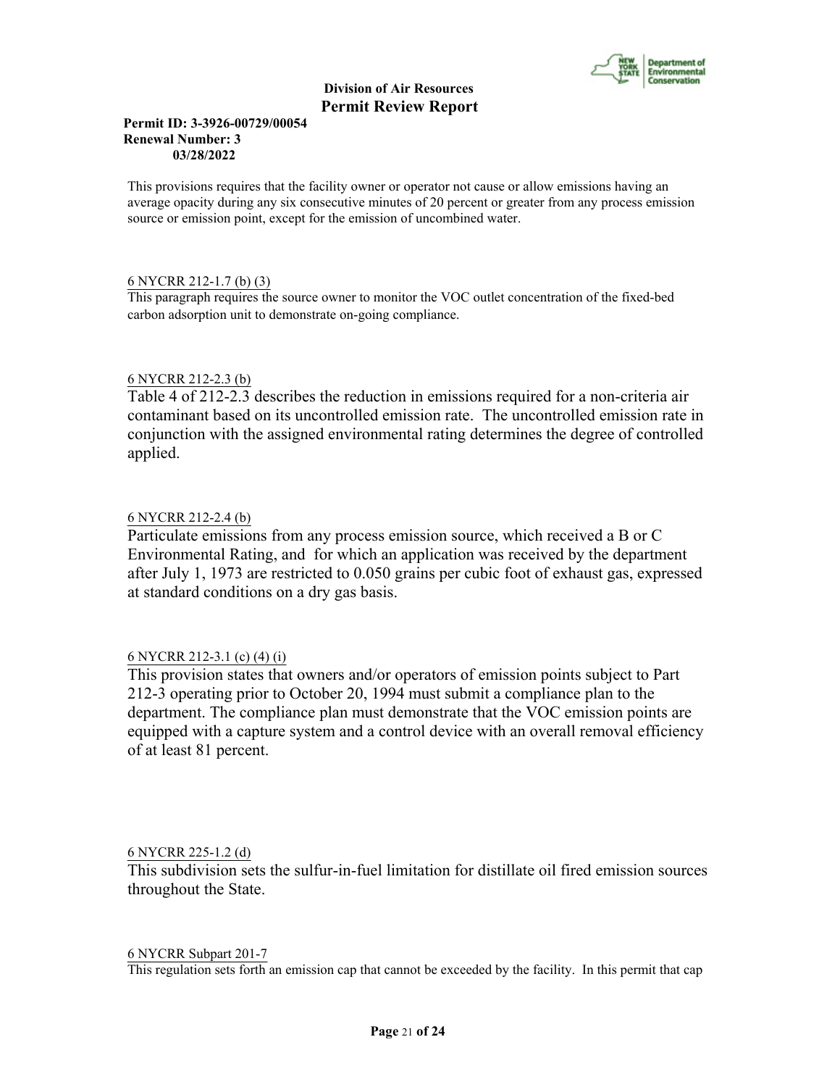

# **Permit ID: 3-3926-00729/00054 Renewal Number: 3 03/28/2022**

This provisions requires that the facility owner or operator not cause or allow emissions having an average opacity during any six consecutive minutes of 20 percent or greater from any process emission source or emission point, except for the emission of uncombined water.

# 6 NYCRR 212-1.7 (b) (3)

This paragraph requires the source owner to monitor the VOC outlet concentration of the fixed-bed carbon adsorption unit to demonstrate on-going compliance.

# 6 NYCRR 212-2.3 (b)

Table 4 of 212-2.3 describes the reduction in emissions required for a non-criteria air contaminant based on its uncontrolled emission rate. The uncontrolled emission rate in conjunction with the assigned environmental rating determines the degree of controlled applied.

# 6 NYCRR 212-2.4 (b)

Particulate emissions from any process emission source, which received a B or C Environmental Rating, and for which an application was received by the department after July 1, 1973 are restricted to 0.050 grains per cubic foot of exhaust gas, expressed at standard conditions on a dry gas basis.

# 6 NYCRR 212-3.1 (c) (4) (i)

This provision states that owners and/or operators of emission points subject to Part 212-3 operating prior to October 20, 1994 must submit a compliance plan to the department. The compliance plan must demonstrate that the VOC emission points are equipped with a capture system and a control device with an overall removal efficiency of at least 81 percent.

# 6 NYCRR 225-1.2 (d)

This subdivision sets the sulfur-in-fuel limitation for distillate oil fired emission sources throughout the State.

#### 6 NYCRR Subpart 201-7

This regulation sets forth an emission cap that cannot be exceeded by the facility. In this permit that cap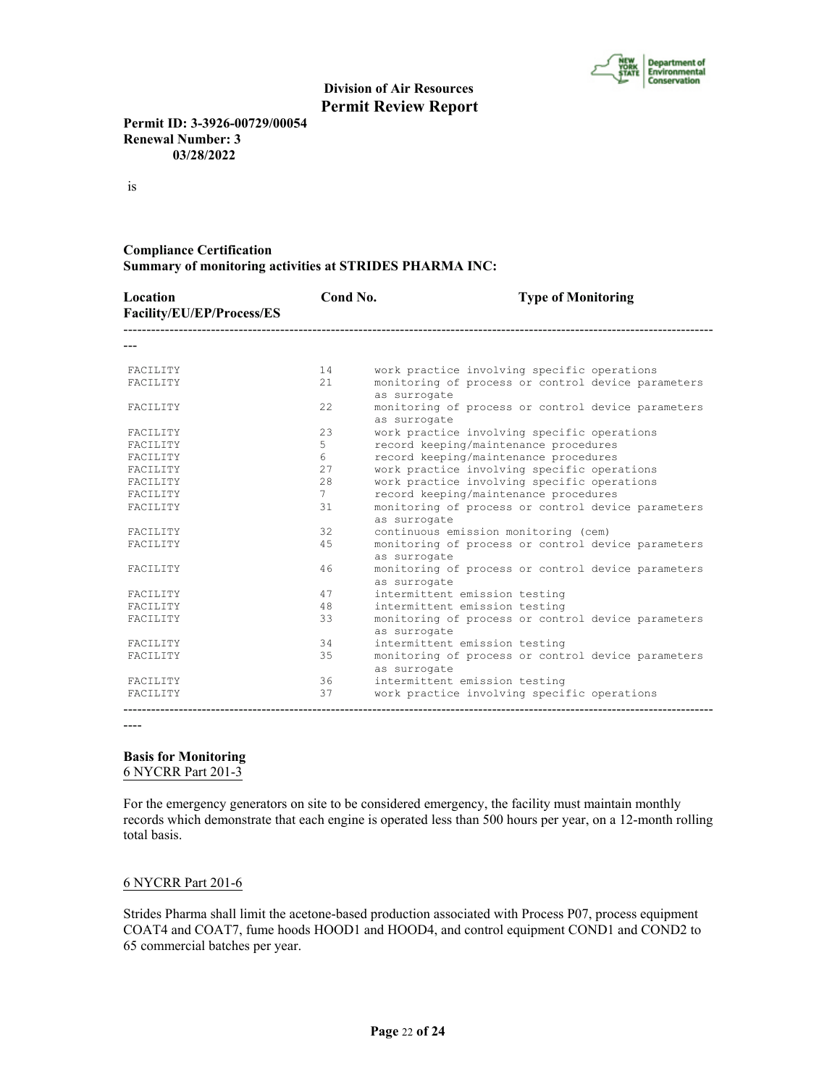

**Permit ID: 3-3926-00729/00054 Renewal Number: 3 03/28/2022**

is

# **Compliance Certification Summary of monitoring activities at STRIDES PHARMA INC:**

| Location<br>Facility/EU/EP/Process/ES | Cond No.         | <b>Type of Monitoring</b>                                          |
|---------------------------------------|------------------|--------------------------------------------------------------------|
|                                       |                  |                                                                    |
| FACILITY                              | 14               | work practice involving specific operations                        |
| FACILITY                              | 21               | monitoring of process or control device parameters<br>as surrogate |
| FACILITY                              | 2.2.             | monitoring of process or control device parameters<br>as surrogate |
| FACILITY                              | 2.3              | work practice involving specific operations                        |
| FACILITY                              | 5                | record keeping/maintenance procedures                              |
| FACILITY                              | $6 \overline{6}$ | record keeping/maintenance procedures                              |
| FACILITY                              | 27               | work practice involving specific operations                        |
| FACILITY                              | 2.8              | work practice involving specific operations                        |
| FACILITY                              | 7                | record keeping/maintenance procedures                              |
| FACILITY                              | 31               | monitoring of process or control device parameters<br>as surrogate |
| FACILITY                              | 32               | continuous emission monitoring (cem)                               |
| FACILITY                              | 45               | monitoring of process or control device parameters<br>as surrogate |
| FACILITY                              | 46               | monitoring of process or control device parameters<br>as surrogate |
| <b>FACTLITY</b>                       | 47               | intermittent emission testing                                      |
| FACILITY                              | 48               | intermittent emission testing                                      |
| FACILITY                              | 33               | monitoring of process or control device parameters<br>as surrogate |
| <b>FACTLITY</b>                       | 34               | intermittent emission testing                                      |
| FACILITY                              | 35               | monitoring of process or control device parameters<br>as surrogate |
| FACILITY                              | 36               | intermittent emission testing                                      |
| FACILITY                              | 37               | work practice involving specific operations                        |

----

# **Basis for Monitoring**

6 NYCRR Part 201-3

For the emergency generators on site to be considered emergency, the facility must maintain monthly records which demonstrate that each engine is operated less than 500 hours per year, on a 12-month rolling total basis.

# 6 NYCRR Part 201-6

Strides Pharma shall limit the acetone-based production associated with Process P07, process equipment COAT4 and COAT7, fume hoods HOOD1 and HOOD4, and control equipment COND1 and COND2 to 65 commercial batches per year.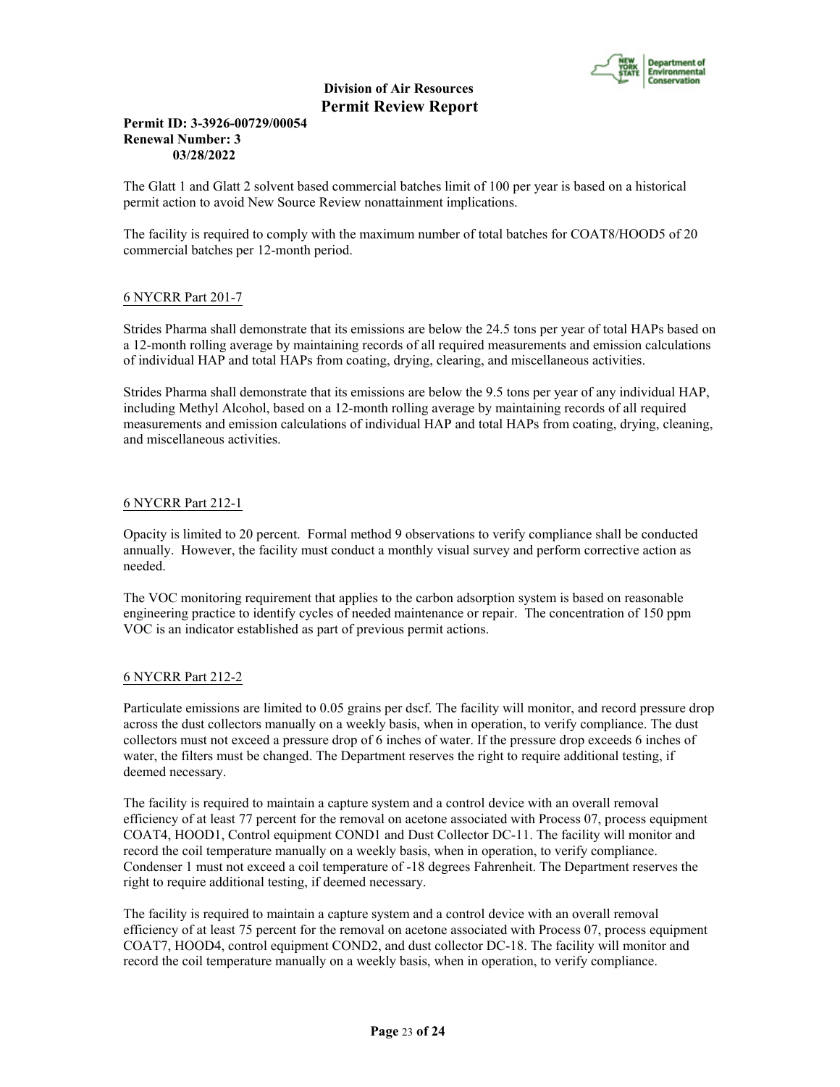

# **Permit ID: 3-3926-00729/00054 Renewal Number: 3 03/28/2022**

The Glatt 1 and Glatt 2 solvent based commercial batches limit of 100 per year is based on a historical permit action to avoid New Source Review nonattainment implications.

The facility is required to comply with the maximum number of total batches for COAT8/HOOD5 of 20 commercial batches per 12-month period.

# 6 NYCRR Part 201-7

Strides Pharma shall demonstrate that its emissions are below the 24.5 tons per year of total HAPs based on a 12-month rolling average by maintaining records of all required measurements and emission calculations of individual HAP and total HAPs from coating, drying, clearing, and miscellaneous activities.

Strides Pharma shall demonstrate that its emissions are below the 9.5 tons per year of any individual HAP, including Methyl Alcohol, based on a 12-month rolling average by maintaining records of all required measurements and emission calculations of individual HAP and total HAPs from coating, drying, cleaning, and miscellaneous activities.

# 6 NYCRR Part 212-1

Opacity is limited to 20 percent. Formal method 9 observations to verify compliance shall be conducted annually. However, the facility must conduct a monthly visual survey and perform corrective action as needed.

The VOC monitoring requirement that applies to the carbon adsorption system is based on reasonable engineering practice to identify cycles of needed maintenance or repair. The concentration of 150 ppm VOC is an indicator established as part of previous permit actions.

# 6 NYCRR Part 212-2

Particulate emissions are limited to 0.05 grains per dscf. The facility will monitor, and record pressure drop across the dust collectors manually on a weekly basis, when in operation, to verify compliance. The dust collectors must not exceed a pressure drop of 6 inches of water. If the pressure drop exceeds 6 inches of water, the filters must be changed. The Department reserves the right to require additional testing, if deemed necessary.

The facility is required to maintain a capture system and a control device with an overall removal efficiency of at least 77 percent for the removal on acetone associated with Process 07, process equipment COAT4, HOOD1, Control equipment COND1 and Dust Collector DC-11. The facility will monitor and record the coil temperature manually on a weekly basis, when in operation, to verify compliance. Condenser 1 must not exceed a coil temperature of -18 degrees Fahrenheit. The Department reserves the right to require additional testing, if deemed necessary.

The facility is required to maintain a capture system and a control device with an overall removal efficiency of at least 75 percent for the removal on acetone associated with Process 07, process equipment COAT7, HOOD4, control equipment COND2, and dust collector DC-18. The facility will monitor and record the coil temperature manually on a weekly basis, when in operation, to verify compliance.